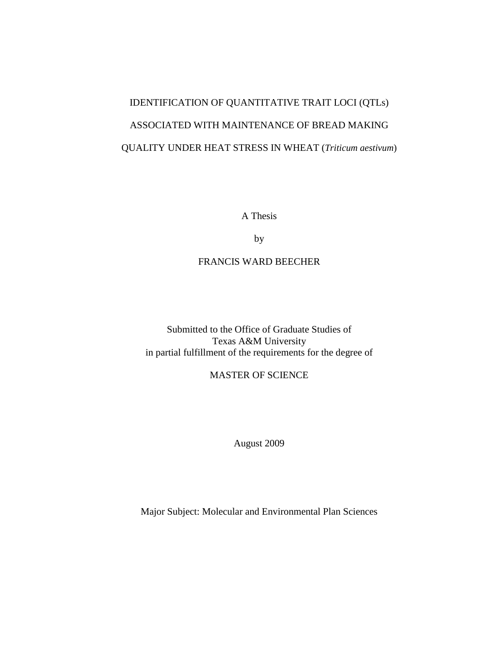# IDENTIFICATION OF QUANTITATIVE TRAIT LOCI (QTLs) ASSOCIATED WITH MAINTENANCE OF BREAD MAKING QUALITY UNDER HEAT STRESS IN WHEAT (*Triticum aestivum*)

A Thesis

by

### FRANCIS WARD BEECHER

Submitted to the Office of Graduate Studies of Texas A&M University in partial fulfillment of the requirements for the degree of

MASTER OF SCIENCE

August 2009

Major Subject: Molecular and Environmental Plan Sciences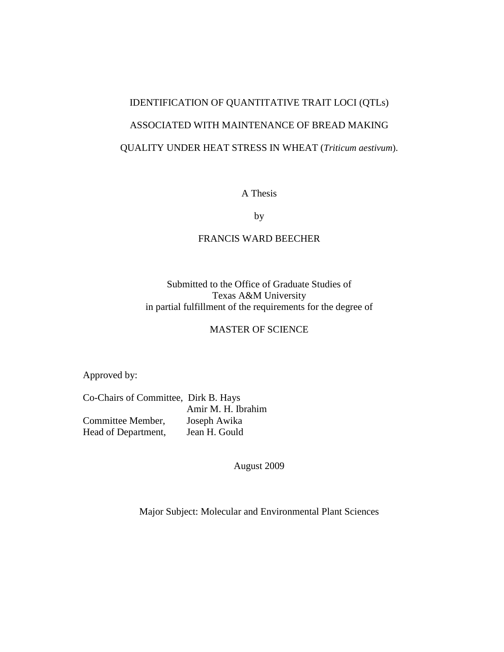# IDENTIFICATION OF QUANTITATIVE TRAIT LOCI (QTLs) ASSOCIATED WITH MAINTENANCE OF BREAD MAKING QUALITY UNDER HEAT STRESS IN WHEAT (*Triticum aestivum*).

A Thesis

by

#### FRANCIS WARD BEECHER

Submitted to the Office of Graduate Studies of Texas A&M University in partial fulfillment of the requirements for the degree of

#### MASTER OF SCIENCE

Approved by:

Co-Chairs of Committee, Dirk B. Hays Amir M. H. Ibrahim Committee Member, Joseph Awika Head of Department, Jean H. Gould

August 2009

Major Subject: Molecular and Environmental Plant Sciences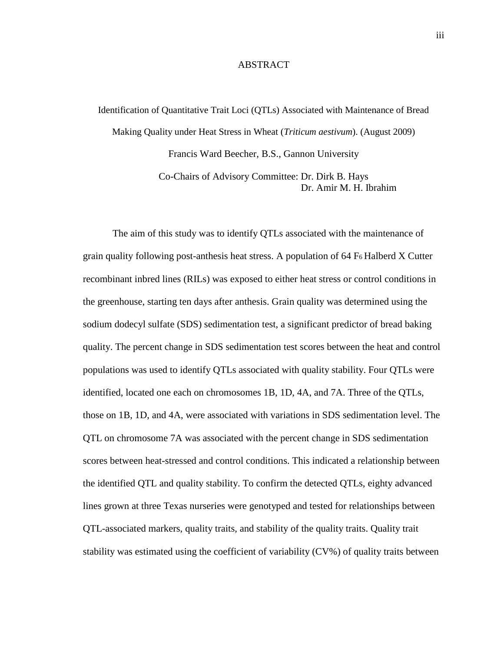#### ABSTRACT

Identification of Quantitative Trait Loci (QTLs) Associated with Maintenance of Bread Making Quality under Heat Stress in Wheat (*Triticum aestivum*). (August 2009) Francis Ward Beecher, B.S., Gannon University

> Co-Chairs of Advisory Committee: Dr. Dirk B. Hays Dr. Amir M. H. Ibrahim

The aim of this study was to identify QTLs associated with the maintenance of grain quality following post-anthesis heat stress. A population of 64 F<sup>6</sup> Halberd X Cutter recombinant inbred lines (RILs) was exposed to either heat stress or control conditions in the greenhouse, starting ten days after anthesis. Grain quality was determined using the sodium dodecyl sulfate (SDS) sedimentation test, a significant predictor of bread baking quality. The percent change in SDS sedimentation test scores between the heat and control populations was used to identify QTLs associated with quality stability. Four QTLs were identified, located one each on chromosomes 1B, 1D, 4A, and 7A. Three of the QTLs, those on 1B, 1D, and 4A, were associated with variations in SDS sedimentation level. The QTL on chromosome 7A was associated with the percent change in SDS sedimentation scores between heat-stressed and control conditions. This indicated a relationship between the identified QTL and quality stability. To confirm the detected QTLs, eighty advanced lines grown at three Texas nurseries were genotyped and tested for relationships between QTL-associated markers, quality traits, and stability of the quality traits. Quality trait stability was estimated using the coefficient of variability (CV%) of quality traits between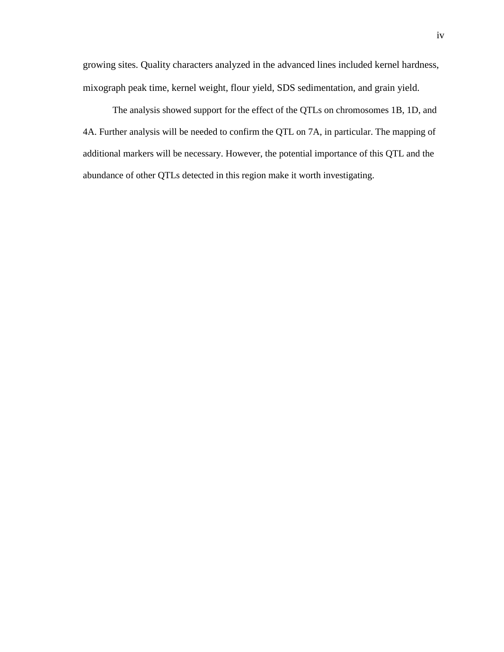growing sites. Quality characters analyzed in the advanced lines included kernel hardness, mixograph peak time, kernel weight, flour yield, SDS sedimentation, and grain yield.

The analysis showed support for the effect of the QTLs on chromosomes 1B, 1D, and 4A. Further analysis will be needed to confirm the QTL on 7A, in particular. The mapping of additional markers will be necessary. However, the potential importance of this QTL and the abundance of other QTLs detected in this region make it worth investigating.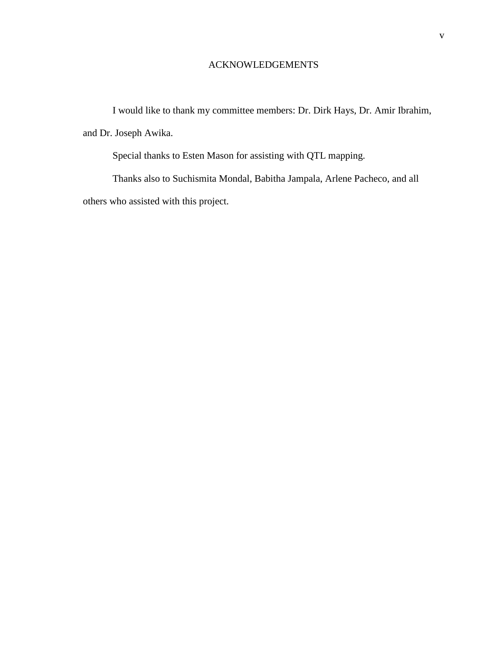#### ACKNOWLEDGEMENTS

I would like to thank my committee members: Dr. Dirk Hays, Dr. Amir Ibrahim, and Dr. Joseph Awika.

Special thanks to Esten Mason for assisting with QTL mapping.

Thanks also to Suchismita Mondal, Babitha Jampala, Arlene Pacheco, and all others who assisted with this project.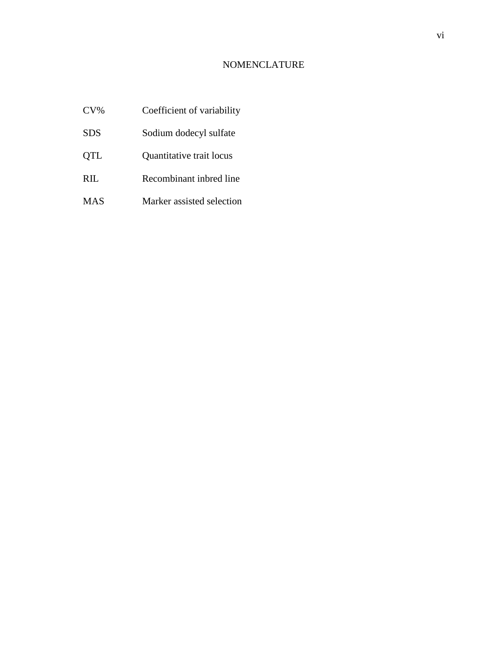## NOMENCLATURE

- CV% Coefficient of variability
- SDS Sodium dodecyl sulfate
- QTL Quantitative trait locus
- RIL Recombinant inbred line
- MAS Marker assisted selection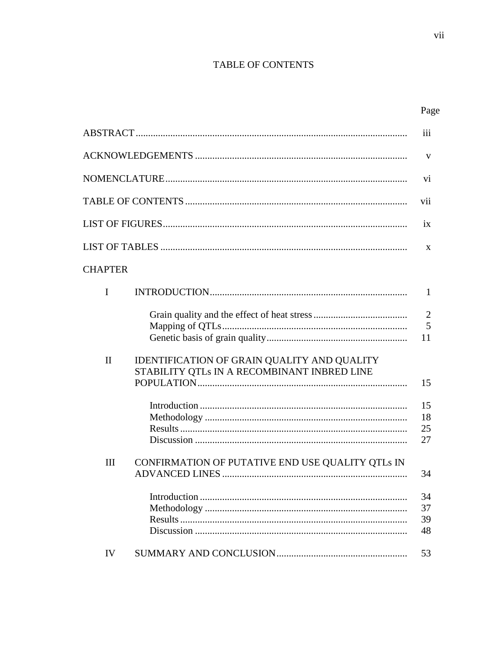# TABLE OF CONTENTS

|                |                                                                                                   | iii                       |
|----------------|---------------------------------------------------------------------------------------------------|---------------------------|
|                |                                                                                                   | V                         |
|                |                                                                                                   | vi                        |
|                |                                                                                                   | vii                       |
|                |                                                                                                   | ix                        |
|                |                                                                                                   | X                         |
| <b>CHAPTER</b> |                                                                                                   |                           |
| I              |                                                                                                   | $\mathbf{1}$              |
|                |                                                                                                   | $\overline{2}$<br>5<br>11 |
| $\mathbf{I}$   | <b>IDENTIFICATION OF GRAIN QUALITY AND QUALITY</b><br>STABILITY QTLs IN A RECOMBINANT INBRED LINE | 15                        |
|                |                                                                                                   | 15<br>18<br>25<br>27      |
| III            | CONFIRMATION OF PUTATIVE END USE QUALITY QTLs IN                                                  | 34                        |
|                |                                                                                                   | 34<br>37<br>39<br>48      |
| IV             |                                                                                                   | 53                        |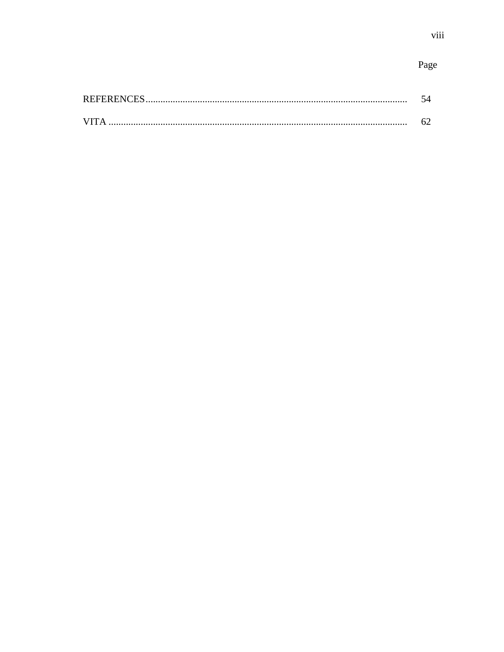# Page

| <b>REFERENC</b> |  |
|-----------------|--|
|                 |  |
|                 |  |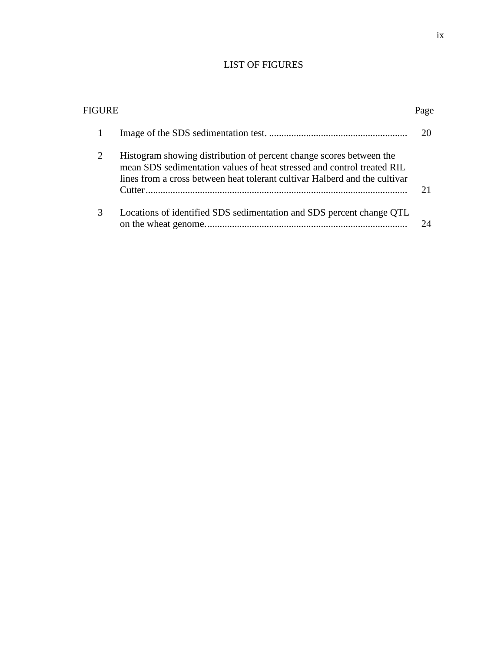## LIST OF FIGURES

| FIGURE        |                                                                                                                                                                                                                             | Page |
|---------------|-----------------------------------------------------------------------------------------------------------------------------------------------------------------------------------------------------------------------------|------|
|               |                                                                                                                                                                                                                             | 20   |
| 2             | Histogram showing distribution of percent change scores between the<br>mean SDS sedimentation values of heat stressed and control treated RIL<br>lines from a cross between heat tolerant cultivar Halberd and the cultivar | 21   |
| $\mathcal{R}$ | Locations of identified SDS sedimentation and SDS percent change QTL                                                                                                                                                        |      |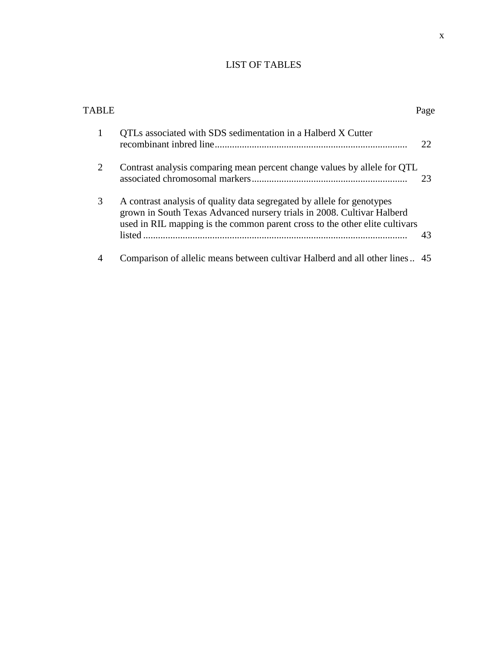# LIST OF TABLES

| TARI E                      |                                                                                                                                                                                                                                 | Page |
|-----------------------------|---------------------------------------------------------------------------------------------------------------------------------------------------------------------------------------------------------------------------------|------|
| 1                           | QTLs associated with SDS sedimentation in a Halberd X Cutter                                                                                                                                                                    | 22   |
| $\mathcal{D}_{\mathcal{L}}$ | Contrast analysis comparing mean percent change values by allele for QTL                                                                                                                                                        | 23   |
| 3                           | A contrast analysis of quality data segregated by allele for genotypes<br>grown in South Texas Advanced nursery trials in 2008. Cultivar Halberd<br>used in RIL mapping is the common parent cross to the other elite cultivars | 43   |
|                             | Comparison of allelic means between cultivar Halberd and all other lines 45                                                                                                                                                     |      |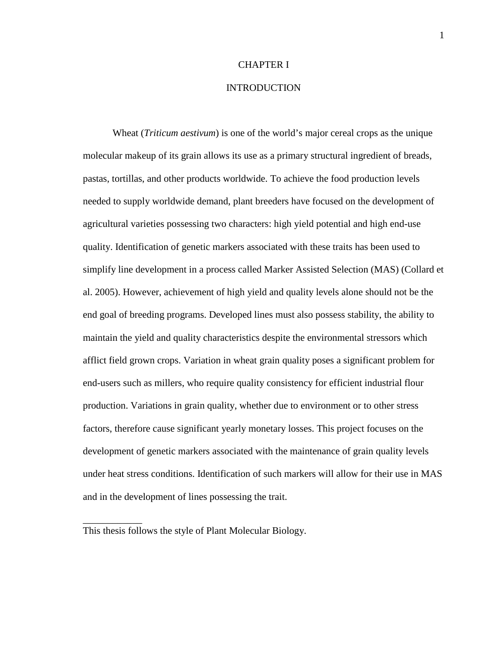#### CHAPTER I

#### **INTRODUCTION**

Wheat (*Triticum aestivum*) is one of the world's major cereal crops as the unique molecular makeup of its grain allows its use as a primary structural ingredient of breads, pastas, tortillas, and other products worldwide. To achieve the food production levels needed to supply worldwide demand, plant breeders have focused on the development of agricultural varieties possessing two characters: high yield potential and high end-use quality. Identification of genetic markers associated with these traits has been used to simplify line development in a process called Marker Assisted Selection (MAS) (Collard et al. 2005). However, achievement of high yield and quality levels alone should not be the end goal of breeding programs. Developed lines must also possess stability, the ability to maintain the yield and quality characteristics despite the environmental stressors which afflict field grown crops. Variation in wheat grain quality poses a significant problem for end-users such as millers, who require quality consistency for efficient industrial flour production. Variations in grain quality, whether due to environment or to other stress factors, therefore cause significant yearly monetary losses. This project focuses on the development of genetic markers associated with the maintenance of grain quality levels under heat stress conditions. Identification of such markers will allow for their use in MAS and in the development of lines possessing the trait.

\_\_\_\_\_\_\_\_\_\_\_\_

This thesis follows the style of Plant Molecular Biology.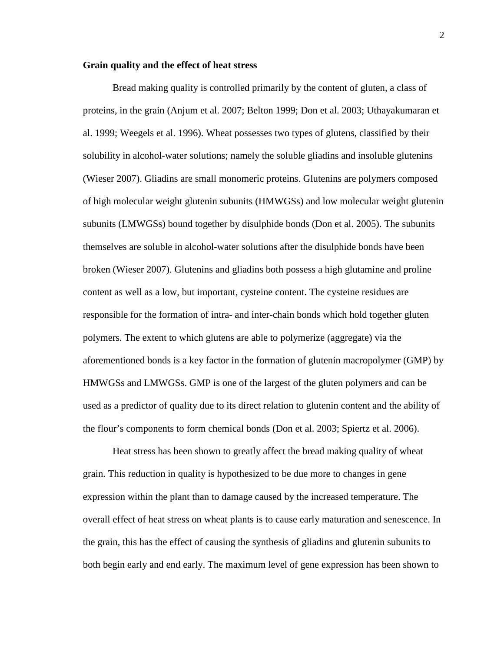#### **Grain quality and the effect of heat stress**

Bread making quality is controlled primarily by the content of gluten, a class of proteins, in the grain (Anjum et al. 2007; Belton 1999; Don et al. 2003; Uthayakumaran et al. 1999; Weegels et al. 1996). Wheat possesses two types of glutens, classified by their solubility in alcohol-water solutions; namely the soluble gliadins and insoluble glutenins (Wieser 2007). Gliadins are small monomeric proteins. Glutenins are polymers composed of high molecular weight glutenin subunits (HMWGSs) and low molecular weight glutenin subunits (LMWGSs) bound together by disulphide bonds (Don et al. 2005). The subunits themselves are soluble in alcohol-water solutions after the disulphide bonds have been broken (Wieser 2007). Glutenins and gliadins both possess a high glutamine and proline content as well as a low, but important, cysteine content. The cysteine residues are responsible for the formation of intra- and inter-chain bonds which hold together gluten polymers. The extent to which glutens are able to polymerize (aggregate) via the aforementioned bonds is a key factor in the formation of glutenin macropolymer (GMP) by HMWGSs and LMWGSs. GMP is one of the largest of the gluten polymers and can be used as a predictor of quality due to its direct relation to glutenin content and the ability of the flour's components to form chemical bonds (Don et al. 2003; Spiertz et al. 2006).

Heat stress has been shown to greatly affect the bread making quality of wheat grain. This reduction in quality is hypothesized to be due more to changes in gene expression within the plant than to damage caused by the increased temperature. The overall effect of heat stress on wheat plants is to cause early maturation and senescence. In the grain, this has the effect of causing the synthesis of gliadins and glutenin subunits to both begin early and end early. The maximum level of gene expression has been shown to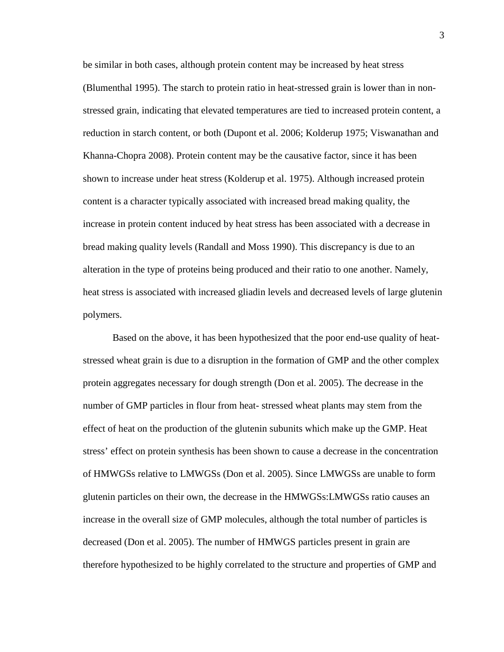be similar in both cases, although protein content may be increased by heat stress (Blumenthal 1995). The starch to protein ratio in heat-stressed grain is lower than in nonstressed grain, indicating that elevated temperatures are tied to increased protein content, a reduction in starch content, or both (Dupont et al. 2006; Kolderup 1975; Viswanathan and Khanna-Chopra 2008). Protein content may be the causative factor, since it has been shown to increase under heat stress (Kolderup et al. 1975). Although increased protein content is a character typically associated with increased bread making quality, the increase in protein content induced by heat stress has been associated with a decrease in bread making quality levels (Randall and Moss 1990). This discrepancy is due to an alteration in the type of proteins being produced and their ratio to one another. Namely, heat stress is associated with increased gliadin levels and decreased levels of large glutenin polymers.

Based on the above, it has been hypothesized that the poor end-use quality of heatstressed wheat grain is due to a disruption in the formation of GMP and the other complex protein aggregates necessary for dough strength (Don et al. 2005). The decrease in the number of GMP particles in flour from heat- stressed wheat plants may stem from the effect of heat on the production of the glutenin subunits which make up the GMP. Heat stress' effect on protein synthesis has been shown to cause a decrease in the concentration of HMWGSs relative to LMWGSs (Don et al. 2005). Since LMWGSs are unable to form glutenin particles on their own, the decrease in the HMWGSs:LMWGSs ratio causes an increase in the overall size of GMP molecules, although the total number of particles is decreased (Don et al. 2005). The number of HMWGS particles present in grain are therefore hypothesized to be highly correlated to the structure and properties of GMP and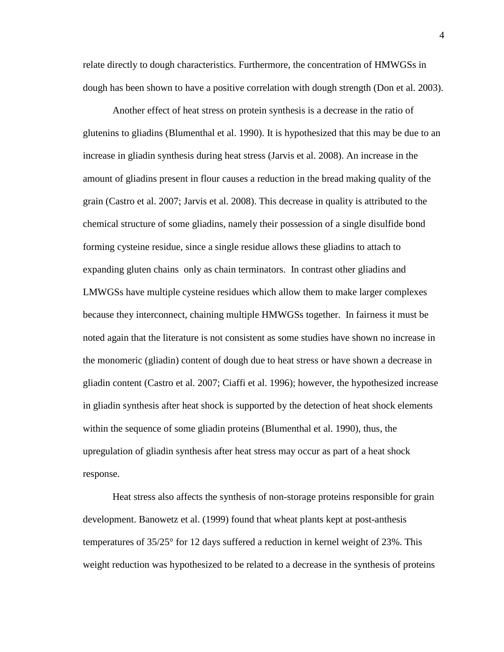relate directly to dough characteristics. Furthermore, the concentration of HMWGSs in dough has been shown to have a positive correlation with dough strength (Don et al. 2003).

Another effect of heat stress on protein synthesis is a decrease in the ratio of glutenins to gliadins (Blumenthal et al. 1990). It is hypothesized that this may be due to an increase in gliadin synthesis during heat stress (Jarvis et al. 2008). An increase in the amount of gliadins present in flour causes a reduction in the bread making quality of the grain (Castro et al. 2007; Jarvis et al. 2008). This decrease in quality is attributed to the chemical structure of some gliadins, namely their possession of a single disulfide bond forming cysteine residue, since a single residue allows these gliadins to attach to expanding gluten chains only as chain terminators. In contrast other gliadins and LMWGSs have multiple cysteine residues which allow them to make larger complexes because they interconnect, chaining multiple HMWGSs together. In fairness it must be noted again that the literature is not consistent as some studies have shown no increase in the monomeric (gliadin) content of dough due to heat stress or have shown a decrease in gliadin content (Castro et al. 2007; Ciaffi et al. 1996); however, the hypothesized increase in gliadin synthesis after heat shock is supported by the detection of heat shock elements within the sequence of some gliadin proteins (Blumenthal et al. 1990), thus, the upregulation of gliadin synthesis after heat stress may occur as part of a heat shock response.

Heat stress also affects the synthesis of non-storage proteins responsible for grain development. Banowetz et al. (1999) found that wheat plants kept at post-anthesis temperatures of 35/25° for 12 days suffered a reduction in kernel weight of 23%. This weight reduction was hypothesized to be related to a decrease in the synthesis of proteins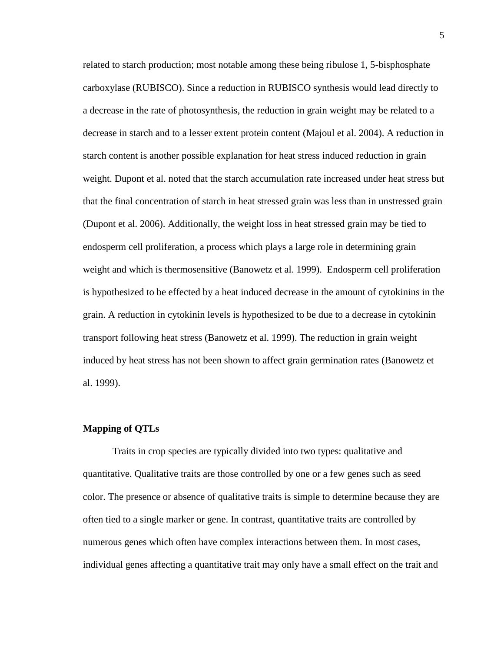related to starch production; most notable among these being ribulose 1, 5-bisphosphate carboxylase (RUBISCO). Since a reduction in RUBISCO synthesis would lead directly to a decrease in the rate of photosynthesis, the reduction in grain weight may be related to a decrease in starch and to a lesser extent protein content (Majoul et al. 2004). A reduction in starch content is another possible explanation for heat stress induced reduction in grain weight. Dupont et al. noted that the starch accumulation rate increased under heat stress but that the final concentration of starch in heat stressed grain was less than in unstressed grain (Dupont et al. 2006). Additionally, the weight loss in heat stressed grain may be tied to endosperm cell proliferation, a process which plays a large role in determining grain weight and which is thermosensitive (Banowetz et al. 1999). Endosperm cell proliferation is hypothesized to be effected by a heat induced decrease in the amount of cytokinins in the grain. A reduction in cytokinin levels is hypothesized to be due to a decrease in cytokinin transport following heat stress (Banowetz et al. 1999). The reduction in grain weight induced by heat stress has not been shown to affect grain germination rates (Banowetz et al. 1999).

#### **Mapping of QTLs**

Traits in crop species are typically divided into two types: qualitative and quantitative. Qualitative traits are those controlled by one or a few genes such as seed color. The presence or absence of qualitative traits is simple to determine because they are often tied to a single marker or gene. In contrast, quantitative traits are controlled by numerous genes which often have complex interactions between them. In most cases, individual genes affecting a quantitative trait may only have a small effect on the trait and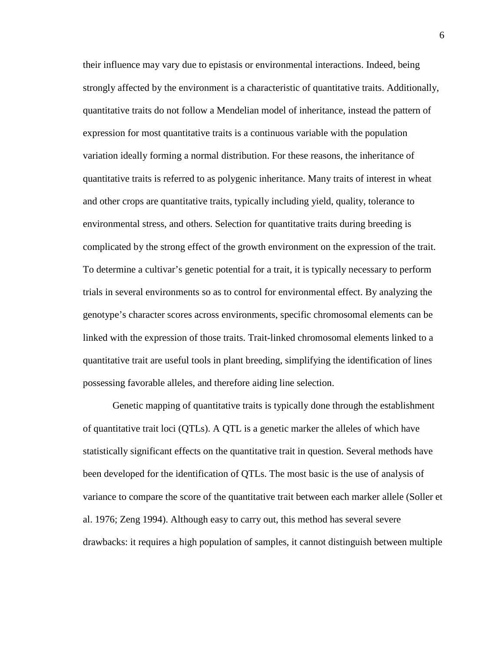their influence may vary due to epistasis or environmental interactions. Indeed, being strongly affected by the environment is a characteristic of quantitative traits. Additionally, quantitative traits do not follow a Mendelian model of inheritance, instead the pattern of expression for most quantitative traits is a continuous variable with the population variation ideally forming a normal distribution. For these reasons, the inheritance of quantitative traits is referred to as polygenic inheritance. Many traits of interest in wheat and other crops are quantitative traits, typically including yield, quality, tolerance to environmental stress, and others. Selection for quantitative traits during breeding is complicated by the strong effect of the growth environment on the expression of the trait. To determine a cultivar's genetic potential for a trait, it is typically necessary to perform trials in several environments so as to control for environmental effect. By analyzing the genotype's character scores across environments, specific chromosomal elements can be linked with the expression of those traits. Trait-linked chromosomal elements linked to a quantitative trait are useful tools in plant breeding, simplifying the identification of lines possessing favorable alleles, and therefore aiding line selection.

Genetic mapping of quantitative traits is typically done through the establishment of quantitative trait loci (QTLs). A QTL is a genetic marker the alleles of which have statistically significant effects on the quantitative trait in question. Several methods have been developed for the identification of QTLs. The most basic is the use of analysis of variance to compare the score of the quantitative trait between each marker allele (Soller et al. 1976; Zeng 1994). Although easy to carry out, this method has several severe drawbacks: it requires a high population of samples, it cannot distinguish between multiple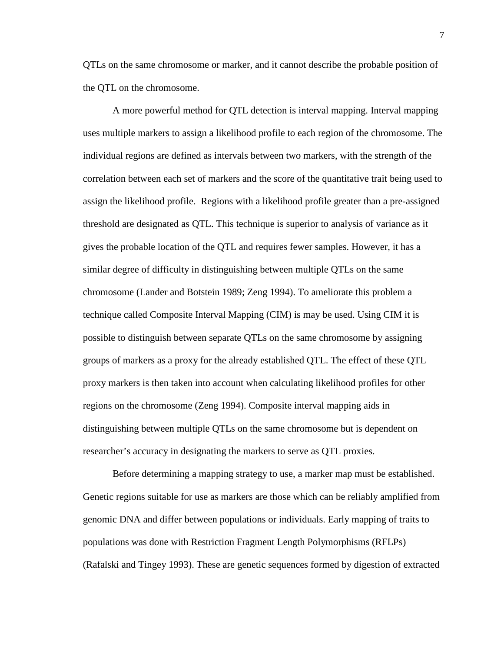QTLs on the same chromosome or marker, and it cannot describe the probable position of the QTL on the chromosome.

A more powerful method for QTL detection is interval mapping. Interval mapping uses multiple markers to assign a likelihood profile to each region of the chromosome. The individual regions are defined as intervals between two markers, with the strength of the correlation between each set of markers and the score of the quantitative trait being used to assign the likelihood profile. Regions with a likelihood profile greater than a pre-assigned threshold are designated as QTL. This technique is superior to analysis of variance as it gives the probable location of the QTL and requires fewer samples. However, it has a similar degree of difficulty in distinguishing between multiple QTLs on the same chromosome (Lander and Botstein 1989; Zeng 1994). To ameliorate this problem a technique called Composite Interval Mapping (CIM) is may be used. Using CIM it is possible to distinguish between separate QTLs on the same chromosome by assigning groups of markers as a proxy for the already established QTL. The effect of these QTL proxy markers is then taken into account when calculating likelihood profiles for other regions on the chromosome (Zeng 1994). Composite interval mapping aids in distinguishing between multiple QTLs on the same chromosome but is dependent on researcher's accuracy in designating the markers to serve as QTL proxies.

Before determining a mapping strategy to use, a marker map must be established. Genetic regions suitable for use as markers are those which can be reliably amplified from genomic DNA and differ between populations or individuals. Early mapping of traits to populations was done with Restriction Fragment Length Polymorphisms (RFLPs) (Rafalski and Tingey 1993). These are genetic sequences formed by digestion of extracted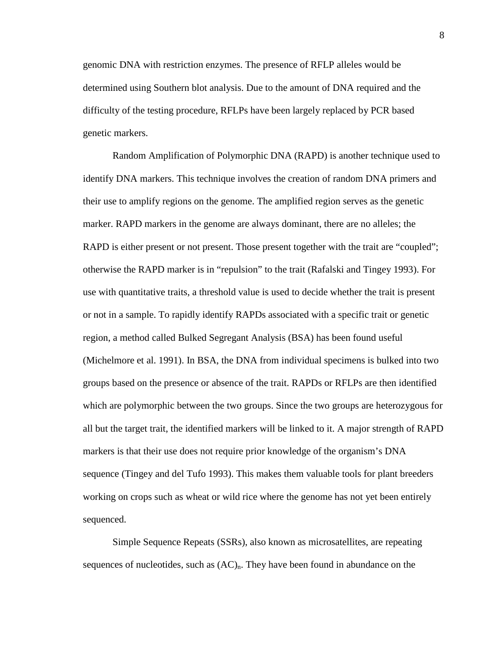genomic DNA with restriction enzymes. The presence of RFLP alleles would be determined using Southern blot analysis. Due to the amount of DNA required and the difficulty of the testing procedure, RFLPs have been largely replaced by PCR based genetic markers.

Random Amplification of Polymorphic DNA (RAPD) is another technique used to identify DNA markers. This technique involves the creation of random DNA primers and their use to amplify regions on the genome. The amplified region serves as the genetic marker. RAPD markers in the genome are always dominant, there are no alleles; the RAPD is either present or not present. Those present together with the trait are "coupled"; otherwise the RAPD marker is in "repulsion" to the trait (Rafalski and Tingey 1993). For use with quantitative traits, a threshold value is used to decide whether the trait is present or not in a sample. To rapidly identify RAPDs associated with a specific trait or genetic region, a method called Bulked Segregant Analysis (BSA) has been found useful (Michelmore et al. 1991). In BSA, the DNA from individual specimens is bulked into two groups based on the presence or absence of the trait. RAPDs or RFLPs are then identified which are polymorphic between the two groups. Since the two groups are heterozygous for all but the target trait, the identified markers will be linked to it. A major strength of RAPD markers is that their use does not require prior knowledge of the organism's DNA sequence (Tingey and del Tufo 1993). This makes them valuable tools for plant breeders working on crops such as wheat or wild rice where the genome has not yet been entirely sequenced.

Simple Sequence Repeats (SSRs), also known as microsatellites, are repeating sequences of nucleotides, such as  $(AC)<sub>n</sub>$ . They have been found in abundance on the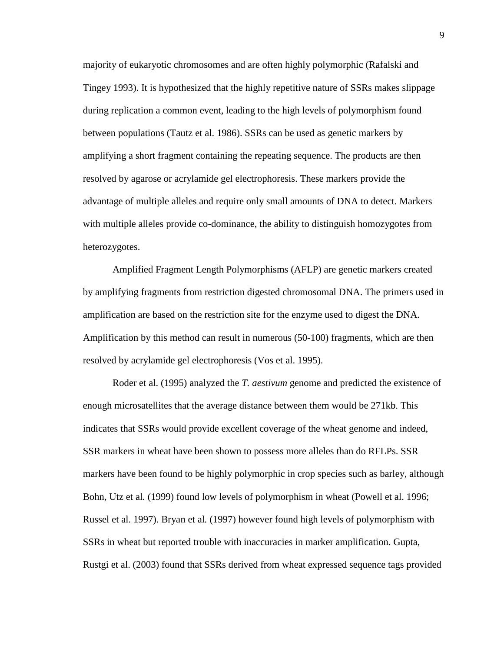majority of eukaryotic chromosomes and are often highly polymorphic (Rafalski and Tingey 1993). It is hypothesized that the highly repetitive nature of SSRs makes slippage during replication a common event, leading to the high levels of polymorphism found between populations (Tautz et al. 1986). SSRs can be used as genetic markers by amplifying a short fragment containing the repeating sequence. The products are then resolved by agarose or acrylamide gel electrophoresis. These markers provide the advantage of multiple alleles and require only small amounts of DNA to detect. Markers with multiple alleles provide co-dominance, the ability to distinguish homozygotes from heterozygotes.

Amplified Fragment Length Polymorphisms (AFLP) are genetic markers created by amplifying fragments from restriction digested chromosomal DNA. The primers used in amplification are based on the restriction site for the enzyme used to digest the DNA. Amplification by this method can result in numerous (50-100) fragments, which are then resolved by acrylamide gel electrophoresis (Vos et al. 1995).

Roder et al. (1995) analyzed the *T. aestivum* genome and predicted the existence of enough microsatellites that the average distance between them would be 271kb. This indicates that SSRs would provide excellent coverage of the wheat genome and indeed, SSR markers in wheat have been shown to possess more alleles than do RFLPs. SSR markers have been found to be highly polymorphic in crop species such as barley, although Bohn, Utz et al*.* (1999) found low levels of polymorphism in wheat (Powell et al. 1996; Russel et al. 1997). Bryan et al*.* (1997) however found high levels of polymorphism with SSRs in wheat but reported trouble with inaccuracies in marker amplification. Gupta, Rustgi et al. (2003) found that SSRs derived from wheat expressed sequence tags provided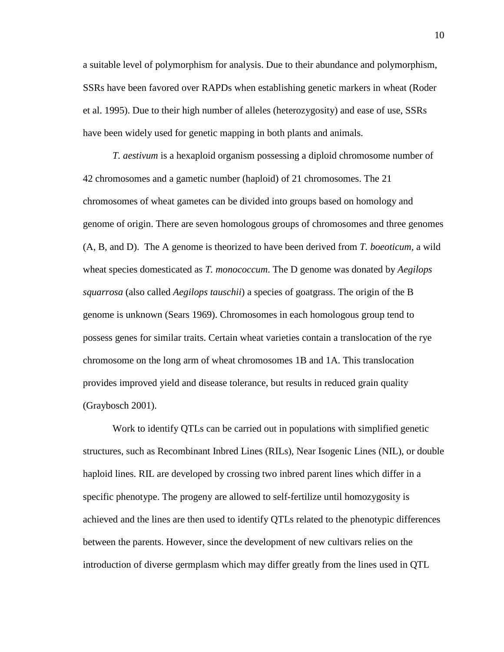a suitable level of polymorphism for analysis. Due to their abundance and polymorphism, SSRs have been favored over RAPDs when establishing genetic markers in wheat (Roder et al. 1995). Due to their high number of alleles (heterozygosity) and ease of use, SSRs have been widely used for genetic mapping in both plants and animals.

*T. aestivum* is a hexaploid organism possessing a diploid chromosome number of 42 chromosomes and a gametic number (haploid) of 21 chromosomes. The 21 chromosomes of wheat gametes can be divided into groups based on homology and genome of origin. There are seven homologous groups of chromosomes and three genomes (A, B, and D). The A genome is theorized to have been derived from *T. boeoticum,* a wild wheat species domesticated as *T. monococcum*. The D genome was donated by *Aegilops squarrosa* (also called *Aegilops tauschii*) a species of goatgrass. The origin of the B genome is unknown (Sears 1969). Chromosomes in each homologous group tend to possess genes for similar traits. Certain wheat varieties contain a translocation of the rye chromosome on the long arm of wheat chromosomes 1B and 1A. This translocation provides improved yield and disease tolerance, but results in reduced grain quality (Graybosch 2001).

Work to identify QTLs can be carried out in populations with simplified genetic structures, such as Recombinant Inbred Lines (RILs), Near Isogenic Lines (NIL), or double haploid lines. RIL are developed by crossing two inbred parent lines which differ in a specific phenotype. The progeny are allowed to self-fertilize until homozygosity is achieved and the lines are then used to identify QTLs related to the phenotypic differences between the parents. However, since the development of new cultivars relies on the introduction of diverse germplasm which may differ greatly from the lines used in QTL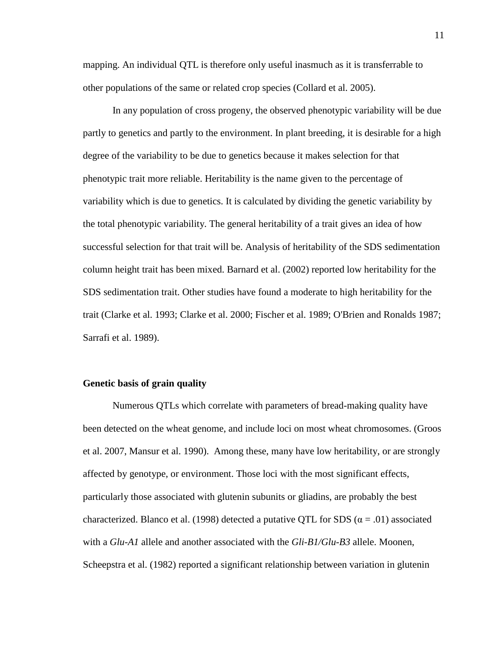mapping. An individual QTL is therefore only useful inasmuch as it is transferrable to other populations of the same or related crop species (Collard et al. 2005).

In any population of cross progeny, the observed phenotypic variability will be due partly to genetics and partly to the environment. In plant breeding, it is desirable for a high degree of the variability to be due to genetics because it makes selection for that phenotypic trait more reliable. Heritability is the name given to the percentage of variability which is due to genetics. It is calculated by dividing the genetic variability by the total phenotypic variability. The general heritability of a trait gives an idea of how successful selection for that trait will be. Analysis of heritability of the SDS sedimentation column height trait has been mixed. Barnard et al. (2002) reported low heritability for the SDS sedimentation trait. Other studies have found a moderate to high heritability for the trait (Clarke et al. 1993; Clarke et al. 2000; Fischer et al. 1989; O'Brien and Ronalds 1987; Sarrafi et al. 1989).

#### **Genetic basis of grain quality**

Numerous QTLs which correlate with parameters of bread-making quality have been detected on the wheat genome, and include loci on most wheat chromosomes. (Groos et al. 2007, Mansur et al. 1990). Among these, many have low heritability, or are strongly affected by genotype, or environment. Those loci with the most significant effects, particularly those associated with glutenin subunits or gliadins, are probably the best characterized. Blanco et al. (1998) detected a putative QTL for SDS ( $\alpha$  = .01) associated with a *Glu-A1* allele and another associated with the *Gli-B1/Glu-B3* allele. Moonen, Scheepstra et al. (1982) reported a significant relationship between variation in glutenin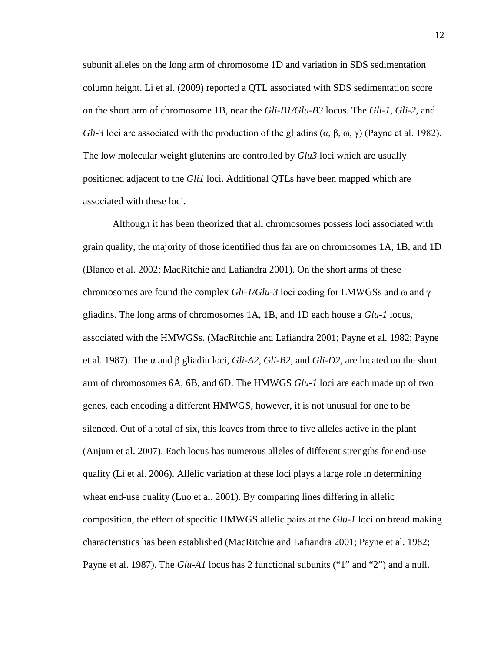subunit alleles on the long arm of chromosome 1D and variation in SDS sedimentation column height. Li et al. (2009) reported a QTL associated with SDS sedimentation score on the short arm of chromosome 1B, near the *Gli-B1/Glu-B3* locus. The *Gli-1, Gli-2,* and *Gli-3* loci are associated with the production of the gliadins  $(\alpha, \beta, \omega, \gamma)$  (Payne et al. 1982). The low molecular weight glutenins are controlled by *Glu3* loci which are usually positioned adjacent to the *Gli1* loci. Additional QTLs have been mapped which are associated with these loci.

Although it has been theorized that all chromosomes possess loci associated with grain quality, the majority of those identified thus far are on chromosomes 1A, 1B, and 1D (Blanco et al. 2002; MacRitchie and Lafiandra 2001). On the short arms of these chromosomes are found the complex *Gli-1/Glu-3* loci coding for LMWGSs and ω and γ gliadins. The long arms of chromosomes 1A, 1B, and 1D each house a *Glu-1* locus, associated with the HMWGSs. (MacRitchie and Lafiandra 2001; Payne et al. 1982; Payne et al. 1987). The α and β gliadin loci, *Gli-A2, Gli-B2,* and *Gli-D2,* are located on the short arm of chromosomes 6A, 6B, and 6D. The HMWGS *Glu-1* loci are each made up of two genes, each encoding a different HMWGS, however, it is not unusual for one to be silenced. Out of a total of six, this leaves from three to five alleles active in the plant (Anjum et al. 2007). Each locus has numerous alleles of different strengths for end-use quality (Li et al. 2006). Allelic variation at these loci plays a large role in determining wheat end-use quality (Luo et al. 2001). By comparing lines differing in allelic composition, the effect of specific HMWGS allelic pairs at the *Glu*-*1* loci on bread making characteristics has been established (MacRitchie and Lafiandra 2001; Payne et al. 1982; Payne et al. 1987). The *Glu-A1* locus has 2 functional subunits ("1" and "2") and a null.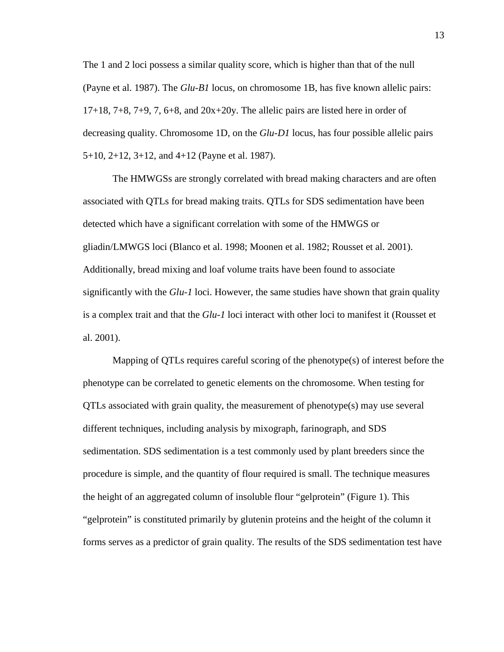The 1 and 2 loci possess a similar quality score, which is higher than that of the null (Payne et al. 1987). The *Glu-B1* locus, on chromosome 1B, has five known allelic pairs:  $17+18$ ,  $7+8$ ,  $7+9$ ,  $7$ ,  $6+8$ , and  $20x+20y$ . The allelic pairs are listed here in order of decreasing quality. Chromosome 1D, on the *Glu-D1* locus, has four possible allelic pairs 5+10, 2+12, 3+12, and 4+12 (Payne et al. 1987).

The HMWGSs are strongly correlated with bread making characters and are often associated with QTLs for bread making traits. QTLs for SDS sedimentation have been detected which have a significant correlation with some of the HMWGS or gliadin/LMWGS loci (Blanco et al. 1998; Moonen et al. 1982; Rousset et al. 2001). Additionally, bread mixing and loaf volume traits have been found to associate significantly with the *Glu-1* loci. However, the same studies have shown that grain quality is a complex trait and that the *Glu-1* loci interact with other loci to manifest it (Rousset et al. 2001).

Mapping of QTLs requires careful scoring of the phenotype(s) of interest before the phenotype can be correlated to genetic elements on the chromosome. When testing for QTLs associated with grain quality, the measurement of phenotype(s) may use several different techniques, including analysis by mixograph, farinograph, and SDS sedimentation. SDS sedimentation is a test commonly used by plant breeders since the procedure is simple, and the quantity of flour required is small. The technique measures the height of an aggregated column of insoluble flour "gelprotein" (Figure 1). This "gelprotein" is constituted primarily by glutenin proteins and the height of the column it forms serves as a predictor of grain quality. The results of the SDS sedimentation test have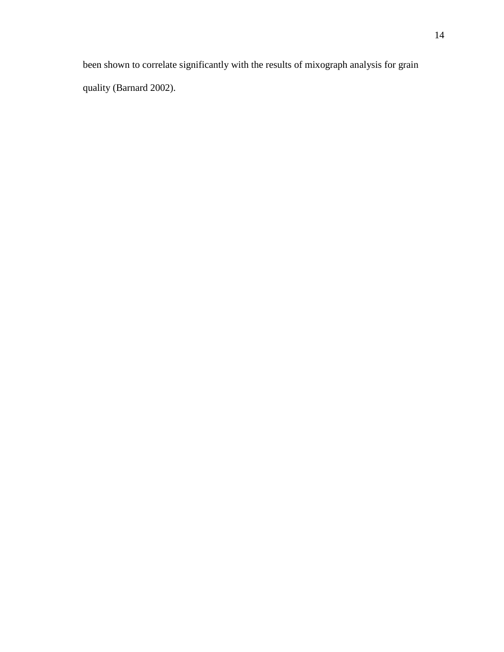been shown to correlate significantly with the results of mixograph analysis for grain quality (Barnard 2002).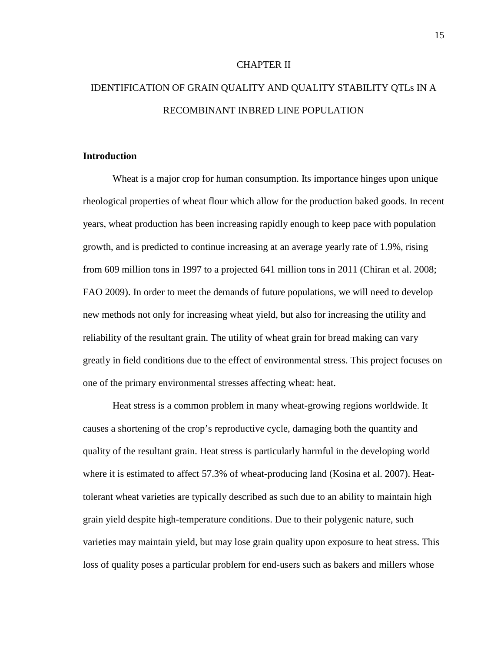#### CHAPTER II

# IDENTIFICATION OF GRAIN QUALITY AND QUALITY STABILITY QTLs IN A RECOMBINANT INBRED LINE POPULATION

#### **Introduction**

Wheat is a major crop for human consumption. Its importance hinges upon unique rheological properties of wheat flour which allow for the production baked goods. In recent years, wheat production has been increasing rapidly enough to keep pace with population growth, and is predicted to continue increasing at an average yearly rate of 1.9%, rising from 609 million tons in 1997 to a projected 641 million tons in 2011 (Chiran et al. 2008; FAO 2009). In order to meet the demands of future populations, we will need to develop new methods not only for increasing wheat yield, but also for increasing the utility and reliability of the resultant grain. The utility of wheat grain for bread making can vary greatly in field conditions due to the effect of environmental stress. This project focuses on one of the primary environmental stresses affecting wheat: heat.

Heat stress is a common problem in many wheat-growing regions worldwide. It causes a shortening of the crop's reproductive cycle, damaging both the quantity and quality of the resultant grain. Heat stress is particularly harmful in the developing world where it is estimated to affect 57.3% of wheat-producing land (Kosina et al. 2007). Heattolerant wheat varieties are typically described as such due to an ability to maintain high grain yield despite high-temperature conditions. Due to their polygenic nature, such varieties may maintain yield, but may lose grain quality upon exposure to heat stress. This loss of quality poses a particular problem for end-users such as bakers and millers whose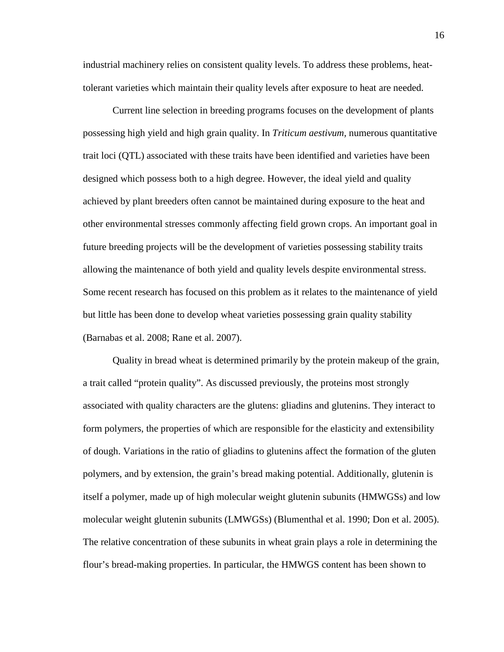industrial machinery relies on consistent quality levels. To address these problems, heattolerant varieties which maintain their quality levels after exposure to heat are needed.

Current line selection in breeding programs focuses on the development of plants possessing high yield and high grain quality. In *Triticum aestivum,* numerous quantitative trait loci (QTL) associated with these traits have been identified and varieties have been designed which possess both to a high degree. However, the ideal yield and quality achieved by plant breeders often cannot be maintained during exposure to the heat and other environmental stresses commonly affecting field grown crops. An important goal in future breeding projects will be the development of varieties possessing stability traits allowing the maintenance of both yield and quality levels despite environmental stress. Some recent research has focused on this problem as it relates to the maintenance of yield but little has been done to develop wheat varieties possessing grain quality stability (Barnabas et al. 2008; Rane et al. 2007).

Quality in bread wheat is determined primarily by the protein makeup of the grain, a trait called "protein quality". As discussed previously, the proteins most strongly associated with quality characters are the glutens: gliadins and glutenins. They interact to form polymers, the properties of which are responsible for the elasticity and extensibility of dough. Variations in the ratio of gliadins to glutenins affect the formation of the gluten polymers, and by extension, the grain's bread making potential. Additionally, glutenin is itself a polymer, made up of high molecular weight glutenin subunits (HMWGSs) and low molecular weight glutenin subunits (LMWGSs) (Blumenthal et al. 1990; Don et al. 2005). The relative concentration of these subunits in wheat grain plays a role in determining the flour's bread-making properties. In particular, the HMWGS content has been shown to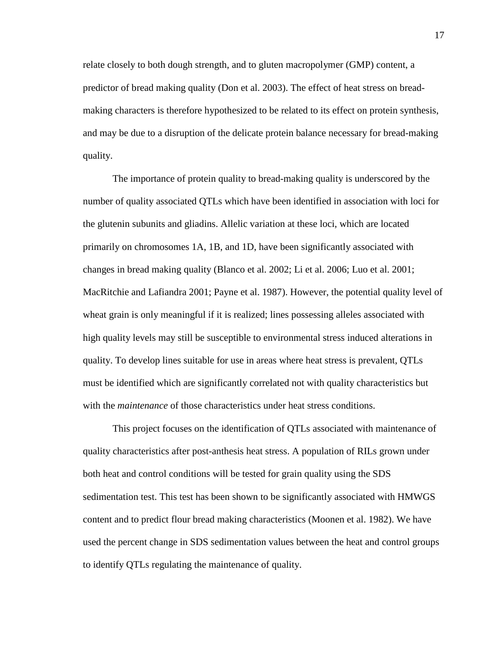relate closely to both dough strength, and to gluten macropolymer (GMP) content, a predictor of bread making quality (Don et al. 2003). The effect of heat stress on breadmaking characters is therefore hypothesized to be related to its effect on protein synthesis, and may be due to a disruption of the delicate protein balance necessary for bread-making quality.

The importance of protein quality to bread-making quality is underscored by the number of quality associated QTLs which have been identified in association with loci for the glutenin subunits and gliadins. Allelic variation at these loci, which are located primarily on chromosomes 1A, 1B, and 1D, have been significantly associated with changes in bread making quality (Blanco et al. 2002; Li et al. 2006; Luo et al. 2001; MacRitchie and Lafiandra 2001; Payne et al. 1987). However, the potential quality level of wheat grain is only meaningful if it is realized; lines possessing alleles associated with high quality levels may still be susceptible to environmental stress induced alterations in quality. To develop lines suitable for use in areas where heat stress is prevalent, QTLs must be identified which are significantly correlated not with quality characteristics but with the *maintenance* of those characteristics under heat stress conditions.

This project focuses on the identification of QTLs associated with maintenance of quality characteristics after post-anthesis heat stress. A population of RILs grown under both heat and control conditions will be tested for grain quality using the SDS sedimentation test. This test has been shown to be significantly associated with HMWGS content and to predict flour bread making characteristics (Moonen et al. 1982). We have used the percent change in SDS sedimentation values between the heat and control groups to identify QTLs regulating the maintenance of quality.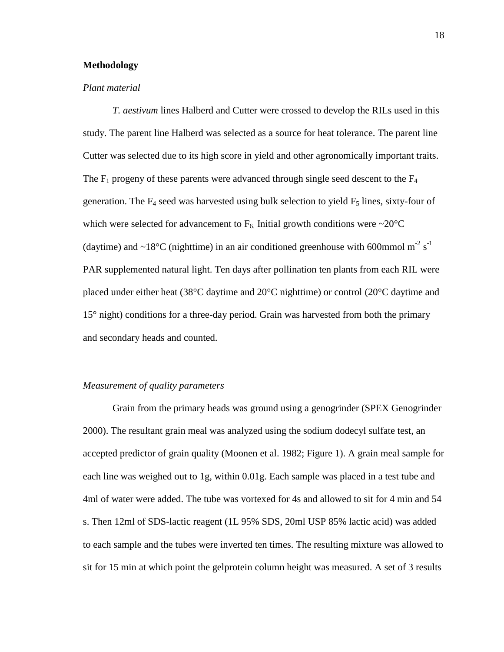#### **Methodology**

#### *Plant material*

*T. aestivum* lines Halberd and Cutter were crossed to develop the RILs used in this study. The parent line Halberd was selected as a source for heat tolerance. The parent line Cutter was selected due to its high score in yield and other agronomically important traits. The  $F_1$  progeny of these parents were advanced through single seed descent to the  $F_4$ generation. The  $F_4$  seed was harvested using bulk selection to yield  $F_5$  lines, sixty-four of which were selected for advancement to  $F_6$ . Initial growth conditions were ~20 $^{\circ}$ C (daytime) and  $\sim$ 18°C (nighttime) in an air conditioned greenhouse with 600mmol m<sup>-2</sup> s<sup>-1</sup> PAR supplemented natural light. Ten days after pollination ten plants from each RIL were placed under either heat (38°C daytime and 20°C nighttime) or control (20°C daytime and 15° night) conditions for a three-day period. Grain was harvested from both the primary and secondary heads and counted.

#### *Measurement of quality parameters*

Grain from the primary heads was ground using a genogrinder (SPEX Genogrinder 2000). The resultant grain meal was analyzed using the sodium dodecyl sulfate test, an accepted predictor of grain quality (Moonen et al. 1982; Figure 1). A grain meal sample for each line was weighed out to 1g, within 0.01g. Each sample was placed in a test tube and 4ml of water were added. The tube was vortexed for 4s and allowed to sit for 4 min and 54 s. Then 12ml of SDS-lactic reagent (1L 95% SDS, 20ml USP 85% lactic acid) was added to each sample and the tubes were inverted ten times. The resulting mixture was allowed to sit for 15 min at which point the gelprotein column height was measured. A set of 3 results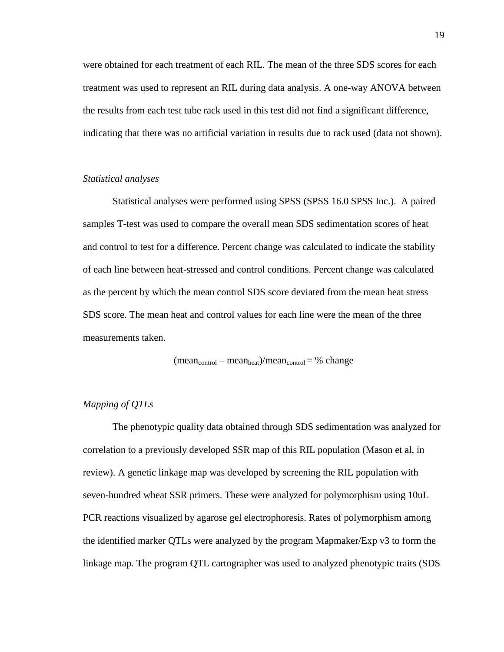were obtained for each treatment of each RIL. The mean of the three SDS scores for each treatment was used to represent an RIL during data analysis. A one-way ANOVA between the results from each test tube rack used in this test did not find a significant difference, indicating that there was no artificial variation in results due to rack used (data not shown).

#### *Statistical analyses*

Statistical analyses were performed using SPSS (SPSS 16.0 SPSS Inc.). A paired samples T-test was used to compare the overall mean SDS sedimentation scores of heat and control to test for a difference. Percent change was calculated to indicate the stability of each line between heat-stressed and control conditions. Percent change was calculated as the percent by which the mean control SDS score deviated from the mean heat stress SDS score. The mean heat and control values for each line were the mean of the three measurements taken.

$$
(mean_{control} - mean_{heat})/mean_{control} = \%
$$
 change

#### *Mapping of QTLs*

The phenotypic quality data obtained through SDS sedimentation was analyzed for correlation to a previously developed SSR map of this RIL population (Mason et al, in review). A genetic linkage map was developed by screening the RIL population with seven-hundred wheat SSR primers. These were analyzed for polymorphism using 10uL PCR reactions visualized by agarose gel electrophoresis. Rates of polymorphism among the identified marker QTLs were analyzed by the program Mapmaker/Exp v3 to form the linkage map. The program QTL cartographer was used to analyzed phenotypic traits (SDS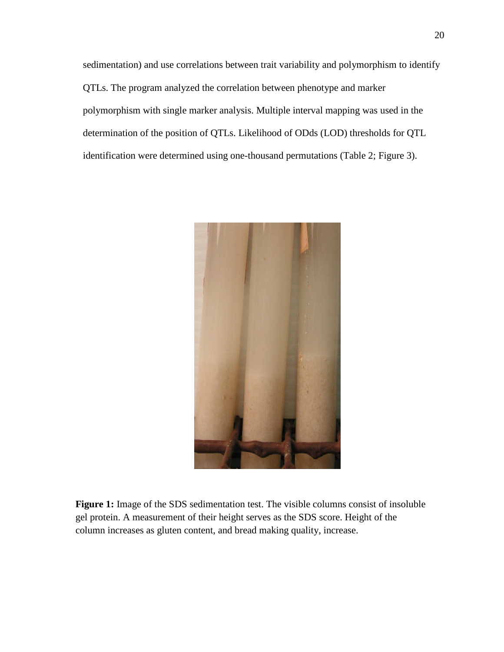sedimentation) and use correlations between trait variability and polymorphism to identify QTLs. The program analyzed the correlation between phenotype and marker polymorphism with single marker analysis. Multiple interval mapping was used in the determination of the position of QTLs. Likelihood of ODds (LOD) thresholds for QTL identification were determined using one-thousand permutations (Table 2; Figure 3).



**Figure 1:** Image of the SDS sedimentation test. The visible columns consist of insoluble gel protein. A measurement of their height serves as the SDS score. Height of the column increases as gluten content, and bread making quality, increase.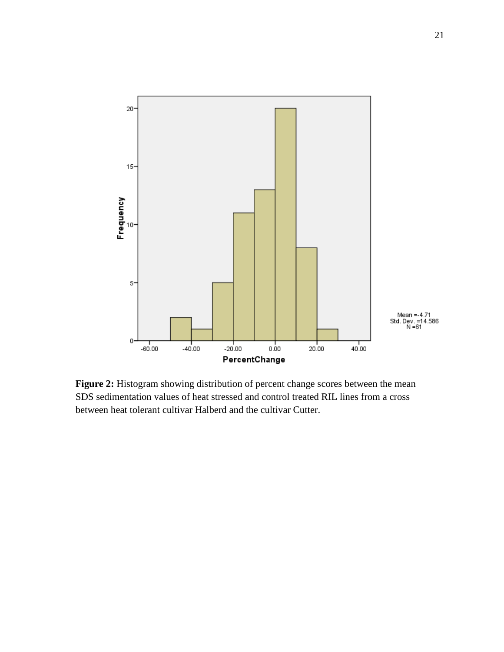

**Figure 2:** Histogram showing distribution of percent change scores between the mean SDS sedimentation values of heat stressed and control treated RIL lines from a cross between heat tolerant cultivar Halberd and the cultivar Cutter.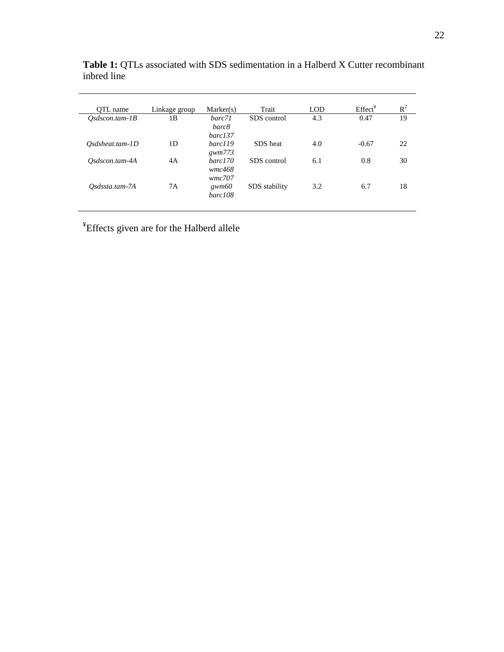| OTL name          | Linkage group | Market(s)  | Trait         | <b>LOD</b> | Effect <sup>Y</sup> | $R^2$ |
|-------------------|---------------|------------|---------------|------------|---------------------|-------|
| $Osdscon.tam-IB$  | 1B            | barc71     | SDS control   | 4.3        | 0.47                | 19    |
|                   |               | barc8      |               |            |                     |       |
|                   |               | $barc$ 137 |               |            |                     |       |
| $Osdsheat.tam-1D$ | 1D            | barc119    | SDS heat      | 4.0        | $-0.67$             | 22    |
|                   |               | gwm773     |               |            |                     |       |
| Osdscon.tam-4A    | 4A            | barc170    | SDS control   | 6.1        | 0.8                 | 30    |
|                   |               | wmc468     |               |            |                     |       |
|                   |               | wmc707     |               |            |                     |       |
| Osdssta.tam-7A    | 7Α            | gwm60      | SDS stability | 3.2        | 6.7                 | 18    |
|                   |               | barc108    |               |            |                     |       |
|                   |               |            |               |            |                     |       |

**Table 1:** QTLs associated with SDS sedimentation in a Halberd X Cutter recombinant inbred line

<sup>¥</sup>Effects given are for the Halberd allele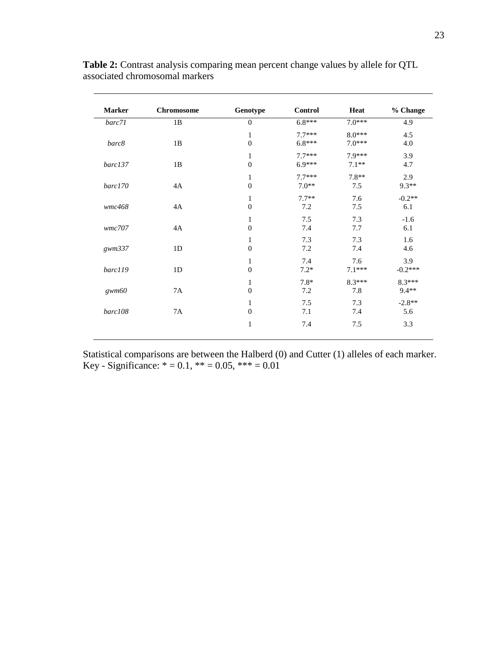| <b>Marker</b> | <b>Chromosome</b> | Genotype                         | <b>Control</b>       | Heat                 | % Change          |
|---------------|-------------------|----------------------------------|----------------------|----------------------|-------------------|
| barc71        | 1B                | $\boldsymbol{0}$                 | $6.8***$             | $7.0***$             | 4.9               |
| barc8         | 1B                | $\mathbf{1}$<br>$\boldsymbol{0}$ | $7.7***$<br>$6.8***$ | $8.0***$<br>$7.0***$ | 4.5<br>4.0        |
| barc137       | 1B                | 1<br>$\boldsymbol{0}$            | $7.7***$<br>$6.9***$ | 7.9***<br>$7.1**$    | 3.9<br>4.7        |
| barc170       | 4A                | 1<br>$\boldsymbol{0}$            | $7.7***$<br>$7.0**$  | $7.8**$<br>7.5       | 2.9<br>$9.3**$    |
| wmc468        | 4A                | 1<br>$\boldsymbol{0}$            | $7.7**$<br>7.2       | 7.6<br>7.5           | $-0.2**$<br>6.1   |
| wmc707        | 4A                | 1<br>$\overline{0}$              | 7.5<br>7.4           | 7.3<br>7.7           | $-1.6$<br>6.1     |
| gwm337        | 1 <sub>D</sub>    | 1<br>$\boldsymbol{0}$            | 7.3<br>7.2           | 7.3<br>7.4           | 1.6<br>4.6        |
| barc119       | 1D                | 1<br>$\boldsymbol{0}$            | 7.4<br>$7.2*$        | 7.6<br>$7.1***$      | 3.9<br>$-0.2***$  |
| gwm60         | 7A                | 1<br>$\boldsymbol{0}$            | $7.8*$<br>7.2        | $8.3***$<br>7.8      | 8.3***<br>$9.4**$ |
| barc108       | 7A                | 1<br>$\boldsymbol{0}$            | 7.5<br>7.1           | 7.3<br>7.4           | $-2.8**$<br>5.6   |
|               |                   | $\mathbf{1}$                     | 7.4                  | 7.5                  | 3.3               |

**Table 2:** Contrast analysis comparing mean percent change values by allele for QTL associated chromosomal markers

Key - Significance:  $* = 0.1$ ,  $** = 0.05$ ,  $*** = 0.01$ Statistical comparisons are between the Halberd (0) and Cutter (1) alleles of each marker.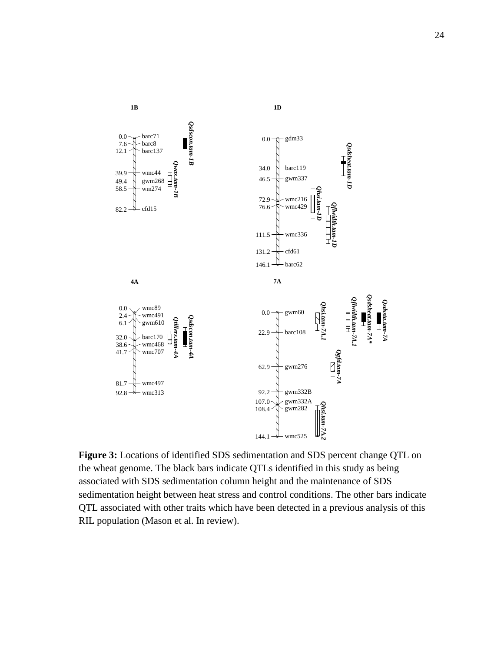

**Figure 3:** Locations of identified SDS sedimentation and SDS percent change QTL on the wheat genome. The black bars indicate QTLs identified in this study as being associated with SDS sedimentation column height and the maintenance of SDS sedimentation height between heat stress and control conditions. The other bars indicate QTL associated with other traits which have been detected in a previous analysis of this RIL population (Mason et al. In review).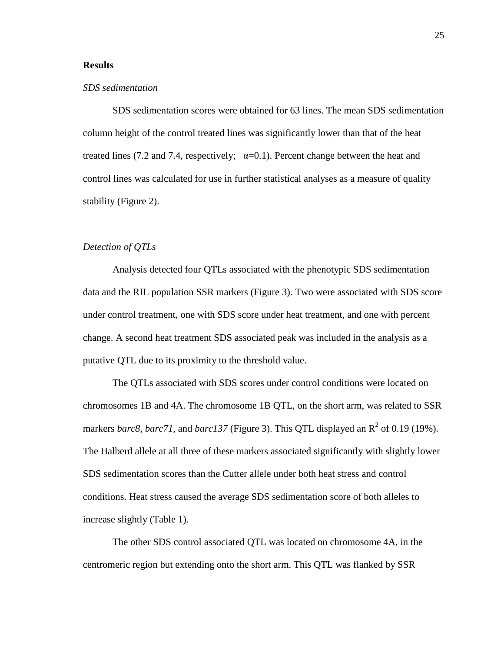#### **Results**

#### *SDS sedimentation*

SDS sedimentation scores were obtained for 63 lines. The mean SDS sedimentation column height of the control treated lines was significantly lower than that of the heat treated lines (7.2 and 7.4, respectively;  $\alpha=0.1$ ). Percent change between the heat and control lines was calculated for use in further statistical analyses as a measure of quality stability (Figure 2).

#### *Detection of QTLs*

Analysis detected four QTLs associated with the phenotypic SDS sedimentation data and the RIL population SSR markers (Figure 3). Two were associated with SDS score under control treatment, one with SDS score under heat treatment, and one with percent change. A second heat treatment SDS associated peak was included in the analysis as a putative QTL due to its proximity to the threshold value.

The QTLs associated with SDS scores under control conditions were located on chromosomes 1B and 4A. The chromosome 1B QTL, on the short arm, was related to SSR markers *barc8*, *barc71*, and *barc137* (Figure 3). This QTL displayed an  $R^2$  of 0.19 (19%). The Halberd allele at all three of these markers associated significantly with slightly lower SDS sedimentation scores than the Cutter allele under both heat stress and control conditions. Heat stress caused the average SDS sedimentation score of both alleles to increase slightly (Table 1).

The other SDS control associated QTL was located on chromosome 4A, in the centromeric region but extending onto the short arm. This QTL was flanked by SSR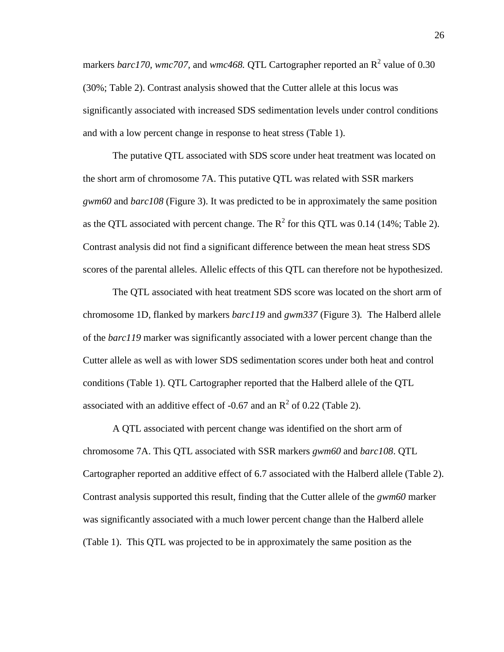markers *barc170, wmc707,* and *wmc468*. QTL Cartographer reported an R<sup>2</sup> value of 0.30 (30%; Table 2). Contrast analysis showed that the Cutter allele at this locus was significantly associated with increased SDS sedimentation levels under control conditions and with a low percent change in response to heat stress (Table 1).

The putative QTL associated with SDS score under heat treatment was located on the short arm of chromosome 7A. This putative QTL was related with SSR markers *gwm60* and *barc108* (Figure 3). It was predicted to be in approximately the same position as the QTL associated with percent change. The  $R^2$  for this QTL was 0.14 (14%; Table 2). Contrast analysis did not find a significant difference between the mean heat stress SDS scores of the parental alleles. Allelic effects of this QTL can therefore not be hypothesized.

The QTL associated with heat treatment SDS score was located on the short arm of chromosome 1D, flanked by markers *barc119* and *gwm337* (Figure 3)*.* The Halberd allele of the *barc119* marker was significantly associated with a lower percent change than the Cutter allele as well as with lower SDS sedimentation scores under both heat and control conditions (Table 1). QTL Cartographer reported that the Halberd allele of the QTL associated with an additive effect of -0.67 and an  $R^2$  of 0.22 (Table 2).

A QTL associated with percent change was identified on the short arm of chromosome 7A. This QTL associated with SSR markers *gwm60* and *barc108*. QTL Cartographer reported an additive effect of 6.7 associated with the Halberd allele (Table 2). Contrast analysis supported this result, finding that the Cutter allele of the *gwm60* marker was significantly associated with a much lower percent change than the Halberd allele (Table 1). This QTL was projected to be in approximately the same position as the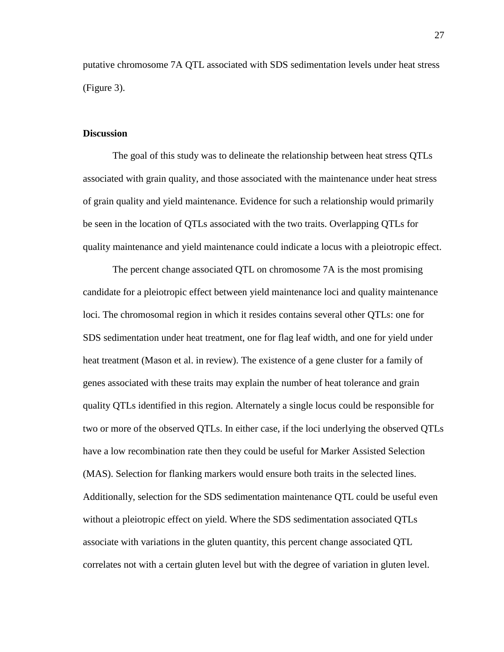putative chromosome 7A QTL associated with SDS sedimentation levels under heat stress (Figure 3).

#### **Discussion**

The goal of this study was to delineate the relationship between heat stress QTLs associated with grain quality, and those associated with the maintenance under heat stress of grain quality and yield maintenance. Evidence for such a relationship would primarily be seen in the location of QTLs associated with the two traits. Overlapping QTLs for quality maintenance and yield maintenance could indicate a locus with a pleiotropic effect.

The percent change associated QTL on chromosome 7A is the most promising candidate for a pleiotropic effect between yield maintenance loci and quality maintenance loci. The chromosomal region in which it resides contains several other QTLs: one for SDS sedimentation under heat treatment, one for flag leaf width, and one for yield under heat treatment (Mason et al. in review). The existence of a gene cluster for a family of genes associated with these traits may explain the number of heat tolerance and grain quality QTLs identified in this region. Alternately a single locus could be responsible for two or more of the observed QTLs. In either case, if the loci underlying the observed QTLs have a low recombination rate then they could be useful for Marker Assisted Selection (MAS). Selection for flanking markers would ensure both traits in the selected lines. Additionally, selection for the SDS sedimentation maintenance QTL could be useful even without a pleiotropic effect on yield. Where the SDS sedimentation associated QTLs associate with variations in the gluten quantity, this percent change associated QTL correlates not with a certain gluten level but with the degree of variation in gluten level.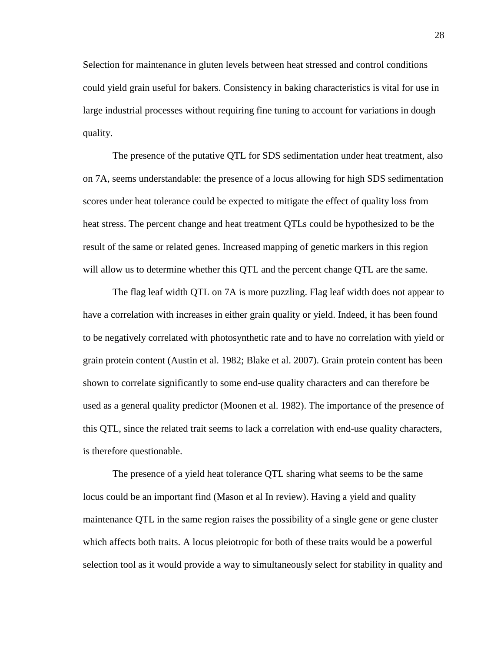Selection for maintenance in gluten levels between heat stressed and control conditions could yield grain useful for bakers. Consistency in baking characteristics is vital for use in large industrial processes without requiring fine tuning to account for variations in dough quality.

The presence of the putative QTL for SDS sedimentation under heat treatment, also on 7A, seems understandable: the presence of a locus allowing for high SDS sedimentation scores under heat tolerance could be expected to mitigate the effect of quality loss from heat stress. The percent change and heat treatment QTLs could be hypothesized to be the result of the same or related genes. Increased mapping of genetic markers in this region will allow us to determine whether this QTL and the percent change QTL are the same.

The flag leaf width QTL on 7A is more puzzling. Flag leaf width does not appear to have a correlation with increases in either grain quality or yield. Indeed, it has been found to be negatively correlated with photosynthetic rate and to have no correlation with yield or grain protein content (Austin et al. 1982; Blake et al. 2007). Grain protein content has been shown to correlate significantly to some end-use quality characters and can therefore be used as a general quality predictor (Moonen et al. 1982). The importance of the presence of this QTL, since the related trait seems to lack a correlation with end-use quality characters, is therefore questionable.

The presence of a yield heat tolerance QTL sharing what seems to be the same locus could be an important find (Mason et al In review). Having a yield and quality maintenance QTL in the same region raises the possibility of a single gene or gene cluster which affects both traits. A locus pleiotropic for both of these traits would be a powerful selection tool as it would provide a way to simultaneously select for stability in quality and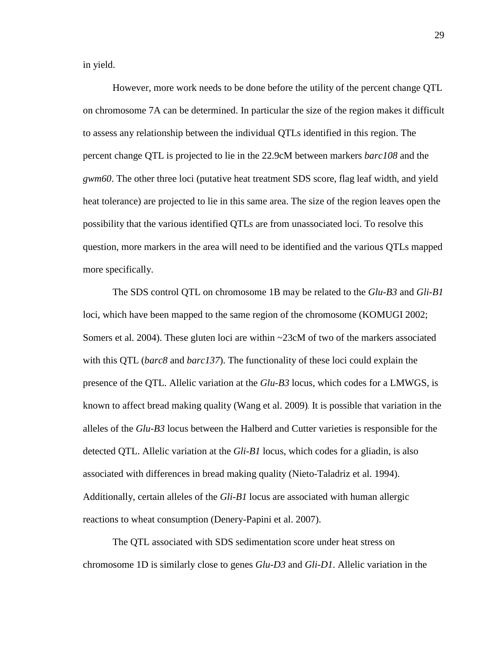in yield.

However, more work needs to be done before the utility of the percent change QTL on chromosome 7A can be determined. In particular the size of the region makes it difficult to assess any relationship between the individual QTLs identified in this region. The percent change QTL is projected to lie in the 22.9cM between markers *barc108* and the *gwm60*. The other three loci (putative heat treatment SDS score, flag leaf width, and yield heat tolerance) are projected to lie in this same area. The size of the region leaves open the possibility that the various identified QTLs are from unassociated loci. To resolve this question, more markers in the area will need to be identified and the various QTLs mapped more specifically.

The SDS control QTL on chromosome 1B may be related to the *Glu-B3* and *Gli-B1* loci, which have been mapped to the same region of the chromosome (KOMUGI 2002; Somers et al. 2004). These gluten loci are within ~23cM of two of the markers associated with this QTL (*barc8* and *barc137*). The functionality of these loci could explain the presence of the QTL. Allelic variation at the *Glu-B3* locus, which codes for a LMWGS, is known to affect bread making quality (Wang et al. 2009). It is possible that variation in the alleles of the *Glu-B3* locus between the Halberd and Cutter varieties is responsible for the detected QTL. Allelic variation at the *Gli-B1* locus, which codes for a gliadin, is also associated with differences in bread making quality (Nieto-Taladriz et al. 1994). Additionally, certain alleles of the *Gli-B1* locus are associated with human allergic reactions to wheat consumption (Denery-Papini et al. 2007).

The QTL associated with SDS sedimentation score under heat stress on chromosome 1D is similarly close to genes *Glu-D3* and *Gli-D1*. Allelic variation in the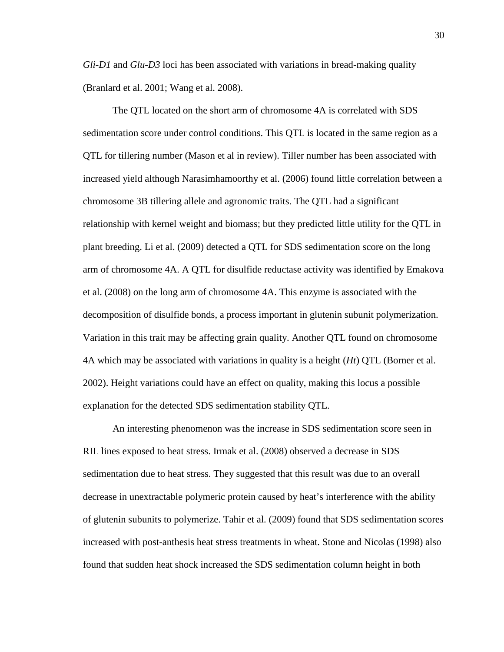*Gli-D1* and *Glu-D3* loci has been associated with variations in bread-making quality (Branlard et al. 2001; Wang et al. 2008).

The QTL located on the short arm of chromosome 4A is correlated with SDS sedimentation score under control conditions. This QTL is located in the same region as a QTL for tillering number (Mason et al in review). Tiller number has been associated with increased yield although Narasimhamoorthy et al. (2006) found little correlation between a chromosome 3B tillering allele and agronomic traits. The QTL had a significant relationship with kernel weight and biomass; but they predicted little utility for the QTL in plant breeding. Li et al. (2009) detected a QTL for SDS sedimentation score on the long arm of chromosome 4A. A QTL for disulfide reductase activity was identified by Emakova et al. (2008) on the long arm of chromosome 4A. This enzyme is associated with the decomposition of disulfide bonds, a process important in glutenin subunit polymerization. Variation in this trait may be affecting grain quality. Another QTL found on chromosome 4A which may be associated with variations in quality is a height (*Ht*) QTL (Borner et al. 2002). Height variations could have an effect on quality, making this locus a possible explanation for the detected SDS sedimentation stability QTL.

An interesting phenomenon was the increase in SDS sedimentation score seen in RIL lines exposed to heat stress. Irmak et al. (2008) observed a decrease in SDS sedimentation due to heat stress. They suggested that this result was due to an overall decrease in unextractable polymeric protein caused by heat's interference with the ability of glutenin subunits to polymerize. Tahir et al. (2009) found that SDS sedimentation scores increased with post-anthesis heat stress treatments in wheat. Stone and Nicolas (1998) also found that sudden heat shock increased the SDS sedimentation column height in both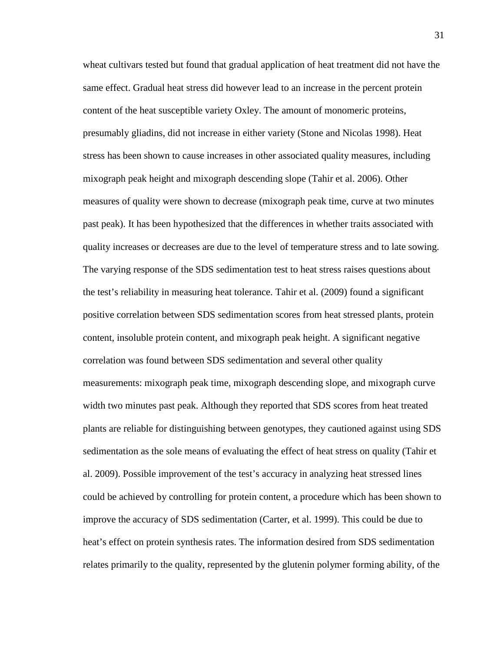wheat cultivars tested but found that gradual application of heat treatment did not have the same effect. Gradual heat stress did however lead to an increase in the percent protein content of the heat susceptible variety Oxley. The amount of monomeric proteins, presumably gliadins, did not increase in either variety (Stone and Nicolas 1998). Heat stress has been shown to cause increases in other associated quality measures, including mixograph peak height and mixograph descending slope (Tahir et al. 2006). Other measures of quality were shown to decrease (mixograph peak time, curve at two minutes past peak). It has been hypothesized that the differences in whether traits associated with quality increases or decreases are due to the level of temperature stress and to late sowing. The varying response of the SDS sedimentation test to heat stress raises questions about the test's reliability in measuring heat tolerance. Tahir et al. (2009) found a significant positive correlation between SDS sedimentation scores from heat stressed plants, protein content, insoluble protein content, and mixograph peak height. A significant negative correlation was found between SDS sedimentation and several other quality measurements: mixograph peak time, mixograph descending slope, and mixograph curve width two minutes past peak. Although they reported that SDS scores from heat treated plants are reliable for distinguishing between genotypes, they cautioned against using SDS sedimentation as the sole means of evaluating the effect of heat stress on quality (Tahir et al. 2009). Possible improvement of the test's accuracy in analyzing heat stressed lines could be achieved by controlling for protein content, a procedure which has been shown to improve the accuracy of SDS sedimentation (Carter, et al. 1999). This could be due to heat's effect on protein synthesis rates. The information desired from SDS sedimentation relates primarily to the quality, represented by the glutenin polymer forming ability, of the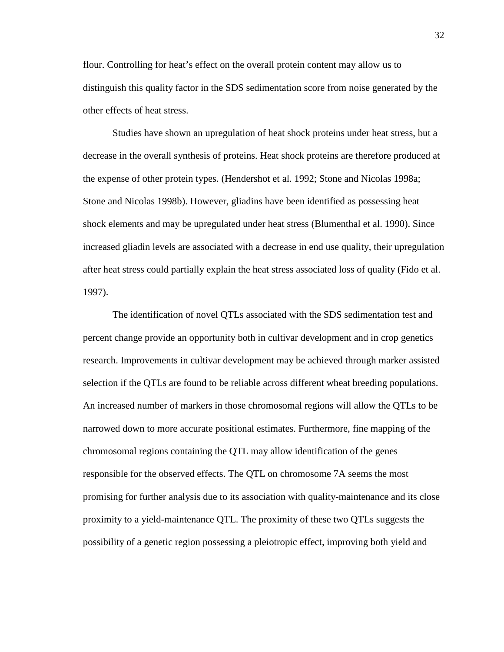flour. Controlling for heat's effect on the overall protein content may allow us to distinguish this quality factor in the SDS sedimentation score from noise generated by the other effects of heat stress.

Studies have shown an upregulation of heat shock proteins under heat stress, but a decrease in the overall synthesis of proteins. Heat shock proteins are therefore produced at the expense of other protein types. (Hendershot et al. 1992; Stone and Nicolas 1998a; Stone and Nicolas 1998b). However, gliadins have been identified as possessing heat shock elements and may be upregulated under heat stress (Blumenthal et al. 1990). Since increased gliadin levels are associated with a decrease in end use quality, their upregulation after heat stress could partially explain the heat stress associated loss of quality (Fido et al. 1997).

The identification of novel QTLs associated with the SDS sedimentation test and percent change provide an opportunity both in cultivar development and in crop genetics research. Improvements in cultivar development may be achieved through marker assisted selection if the QTLs are found to be reliable across different wheat breeding populations. An increased number of markers in those chromosomal regions will allow the QTLs to be narrowed down to more accurate positional estimates. Furthermore, fine mapping of the chromosomal regions containing the QTL may allow identification of the genes responsible for the observed effects. The QTL on chromosome 7A seems the most promising for further analysis due to its association with quality-maintenance and its close proximity to a yield-maintenance QTL. The proximity of these two QTLs suggests the possibility of a genetic region possessing a pleiotropic effect, improving both yield and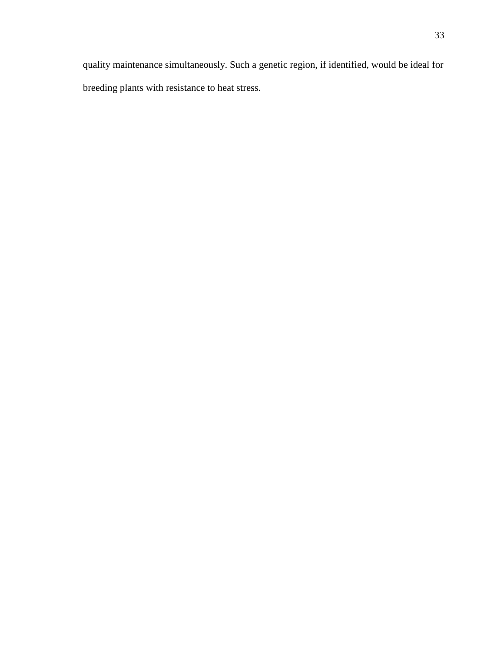quality maintenance simultaneously. Such a genetic region, if identified, would be ideal for breeding plants with resistance to heat stress.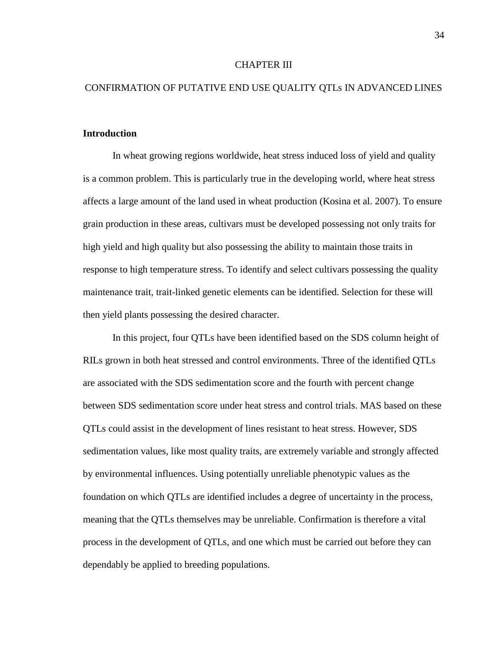#### CHAPTER III

#### CONFIRMATION OF PUTATIVE END USE QUALITY QTLs IN ADVANCED LINES

#### **Introduction**

In wheat growing regions worldwide, heat stress induced loss of yield and quality is a common problem. This is particularly true in the developing world, where heat stress affects a large amount of the land used in wheat production (Kosina et al. 2007). To ensure grain production in these areas, cultivars must be developed possessing not only traits for high yield and high quality but also possessing the ability to maintain those traits in response to high temperature stress. To identify and select cultivars possessing the quality maintenance trait, trait-linked genetic elements can be identified. Selection for these will then yield plants possessing the desired character.

In this project, four QTLs have been identified based on the SDS column height of RILs grown in both heat stressed and control environments. Three of the identified QTLs are associated with the SDS sedimentation score and the fourth with percent change between SDS sedimentation score under heat stress and control trials. MAS based on these QTLs could assist in the development of lines resistant to heat stress. However, SDS sedimentation values, like most quality traits, are extremely variable and strongly affected by environmental influences. Using potentially unreliable phenotypic values as the foundation on which QTLs are identified includes a degree of uncertainty in the process, meaning that the QTLs themselves may be unreliable. Confirmation is therefore a vital process in the development of QTLs, and one which must be carried out before they can dependably be applied to breeding populations.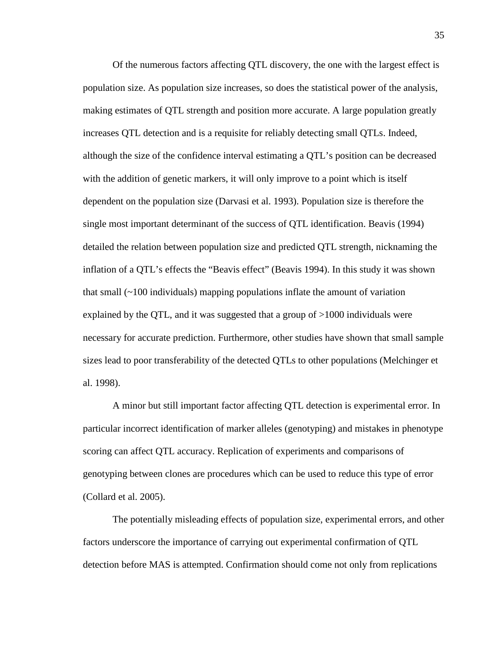Of the numerous factors affecting QTL discovery, the one with the largest effect is population size. As population size increases, so does the statistical power of the analysis, making estimates of QTL strength and position more accurate. A large population greatly increases QTL detection and is a requisite for reliably detecting small QTLs. Indeed, although the size of the confidence interval estimating a QTL's position can be decreased with the addition of genetic markers, it will only improve to a point which is itself dependent on the population size (Darvasi et al. 1993). Population size is therefore the single most important determinant of the success of QTL identification. Beavis (1994) detailed the relation between population size and predicted QTL strength, nicknaming the inflation of a QTL's effects the "Beavis effect" (Beavis 1994). In this study it was shown that small  $(\sim 100$  individuals) mapping populations inflate the amount of variation explained by the QTL, and it was suggested that a group of >1000 individuals were necessary for accurate prediction. Furthermore, other studies have shown that small sample sizes lead to poor transferability of the detected QTLs to other populations (Melchinger et al. 1998).

A minor but still important factor affecting QTL detection is experimental error. In particular incorrect identification of marker alleles (genotyping) and mistakes in phenotype scoring can affect QTL accuracy. Replication of experiments and comparisons of genotyping between clones are procedures which can be used to reduce this type of error (Collard et al. 2005).

The potentially misleading effects of population size, experimental errors, and other factors underscore the importance of carrying out experimental confirmation of QTL detection before MAS is attempted. Confirmation should come not only from replications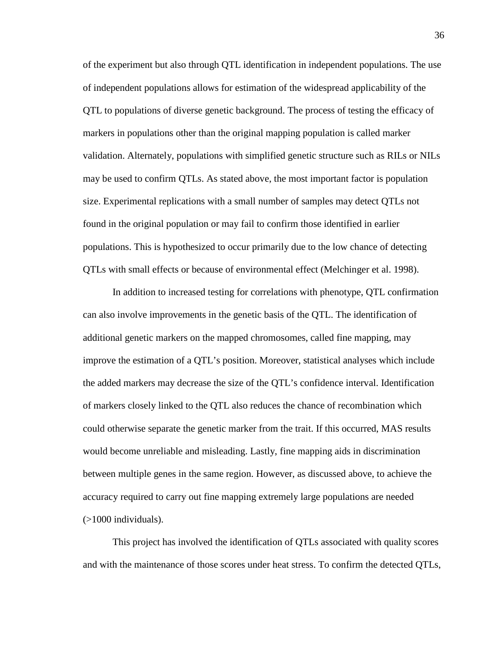of the experiment but also through QTL identification in independent populations. The use of independent populations allows for estimation of the widespread applicability of the QTL to populations of diverse genetic background. The process of testing the efficacy of markers in populations other than the original mapping population is called marker validation. Alternately, populations with simplified genetic structure such as RILs or NILs may be used to confirm QTLs. As stated above, the most important factor is population size. Experimental replications with a small number of samples may detect QTLs not found in the original population or may fail to confirm those identified in earlier populations. This is hypothesized to occur primarily due to the low chance of detecting QTLs with small effects or because of environmental effect (Melchinger et al. 1998).

In addition to increased testing for correlations with phenotype, QTL confirmation can also involve improvements in the genetic basis of the QTL. The identification of additional genetic markers on the mapped chromosomes, called fine mapping, may improve the estimation of a QTL's position. Moreover, statistical analyses which include the added markers may decrease the size of the QTL's confidence interval. Identification of markers closely linked to the QTL also reduces the chance of recombination which could otherwise separate the genetic marker from the trait. If this occurred, MAS results would become unreliable and misleading. Lastly, fine mapping aids in discrimination between multiple genes in the same region. However, as discussed above, to achieve the accuracy required to carry out fine mapping extremely large populations are needed  $($ >1000 individuals).

This project has involved the identification of QTLs associated with quality scores and with the maintenance of those scores under heat stress. To confirm the detected QTLs,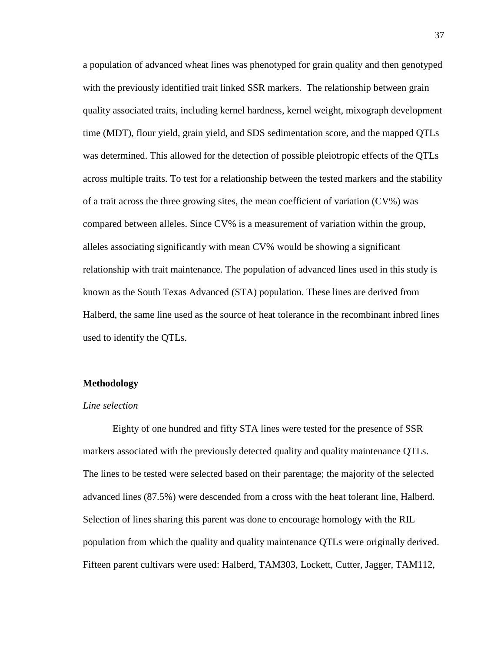a population of advanced wheat lines was phenotyped for grain quality and then genotyped with the previously identified trait linked SSR markers. The relationship between grain quality associated traits, including kernel hardness, kernel weight, mixograph development time (MDT), flour yield, grain yield, and SDS sedimentation score, and the mapped QTLs was determined. This allowed for the detection of possible pleiotropic effects of the QTLs across multiple traits. To test for a relationship between the tested markers and the stability of a trait across the three growing sites, the mean coefficient of variation (CV%) was compared between alleles. Since CV% is a measurement of variation within the group, alleles associating significantly with mean CV% would be showing a significant relationship with trait maintenance. The population of advanced lines used in this study is known as the South Texas Advanced (STA) population. These lines are derived from Halberd, the same line used as the source of heat tolerance in the recombinant inbred lines used to identify the QTLs.

#### **Methodology**

#### *Line selection*

Eighty of one hundred and fifty STA lines were tested for the presence of SSR markers associated with the previously detected quality and quality maintenance QTLs. The lines to be tested were selected based on their parentage; the majority of the selected advanced lines (87.5%) were descended from a cross with the heat tolerant line, Halberd. Selection of lines sharing this parent was done to encourage homology with the RIL population from which the quality and quality maintenance QTLs were originally derived. Fifteen parent cultivars were used: Halberd, TAM303, Lockett, Cutter, Jagger, TAM112,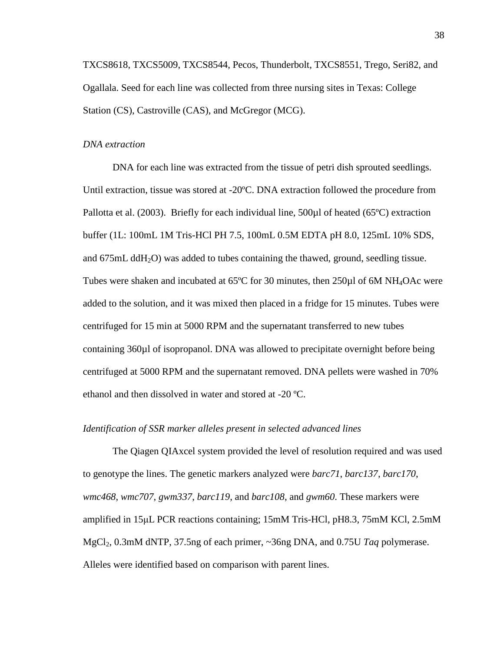TXCS8618, TXCS5009, TXCS8544, Pecos, Thunderbolt, TXCS8551, Trego, Seri82, and Ogallala. Seed for each line was collected from three nursing sites in Texas: College Station (CS), Castroville (CAS), and McGregor (MCG).

#### *DNA extraction*

DNA for each line was extracted from the tissue of petri dish sprouted seedlings. Until extraction, tissue was stored at -20ºC. DNA extraction followed the procedure from Pallotta et al. (2003). Briefly for each individual line, 500 $\mu$ l of heated (65°C) extraction buffer (1L: 100mL 1M Tris-HCl PH 7.5, 100mL 0.5M EDTA pH 8.0, 125mL 10% SDS, and  $675 \text{mL}$  ddH<sub>2</sub>O) was added to tubes containing the thawed, ground, seedling tissue. Tubes were shaken and incubated at 65°C for 30 minutes, then 250µl of 6M NH<sub>4</sub>OAc were added to the solution, and it was mixed then placed in a fridge for 15 minutes. Tubes were centrifuged for 15 min at 5000 RPM and the supernatant transferred to new tubes containing 360µl of isopropanol. DNA was allowed to precipitate overnight before being centrifuged at 5000 RPM and the supernatant removed. DNA pellets were washed in 70% ethanol and then dissolved in water and stored at -20 ºC.

#### *Identification of SSR marker alleles present in selected advanced lines*

The Qiagen QIAxcel system provided the level of resolution required and was used to genotype the lines. The genetic markers analyzed were *barc71*, *barc137*, *barc170*, *wmc468*, *wmc707*, *gwm337*, *barc119*, and *barc108*, and *gwm60*. These markers were amplified in 15μL PCR reactions containing; 15mM Tris-HCl, pH8.3, 75mM KCl, 2.5mM MgCl2, 0.3mM dNTP, 37.5ng of each primer, ~36ng DNA, and 0.75U *Taq* polymerase. Alleles were identified based on comparison with parent lines.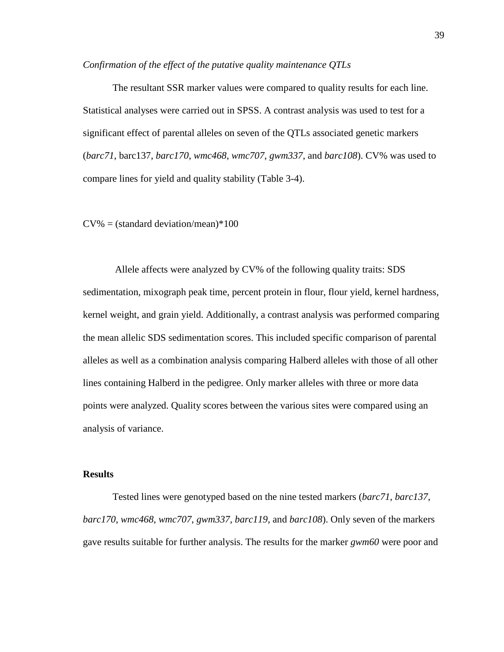#### *Confirmation of the effect of the putative quality maintenance QTLs*

The resultant SSR marker values were compared to quality results for each line. Statistical analyses were carried out in SPSS. A contrast analysis was used to test for a significant effect of parental alleles on seven of the QTLs associated genetic markers (*barc71*, barc137, *barc170*, *wmc468*, *wmc707*, *gwm337*, and *barc108*). CV% was used to compare lines for yield and quality stability (Table 3-4).

#### $CV\% = (standard deviation/mean)*100$

Allele affects were analyzed by CV% of the following quality traits: SDS sedimentation, mixograph peak time, percent protein in flour, flour yield, kernel hardness, kernel weight, and grain yield. Additionally, a contrast analysis was performed comparing the mean allelic SDS sedimentation scores. This included specific comparison of parental alleles as well as a combination analysis comparing Halberd alleles with those of all other lines containing Halberd in the pedigree. Only marker alleles with three or more data points were analyzed. Quality scores between the various sites were compared using an analysis of variance.

#### **Results**

Tested lines were genotyped based on the nine tested markers (*barc71*, *barc137*, *barc170*, *wmc468*, *wmc707*, *gwm337*, *barc119*, and *barc108*). Only seven of the markers gave results suitable for further analysis. The results for the marker *gwm60* were poor and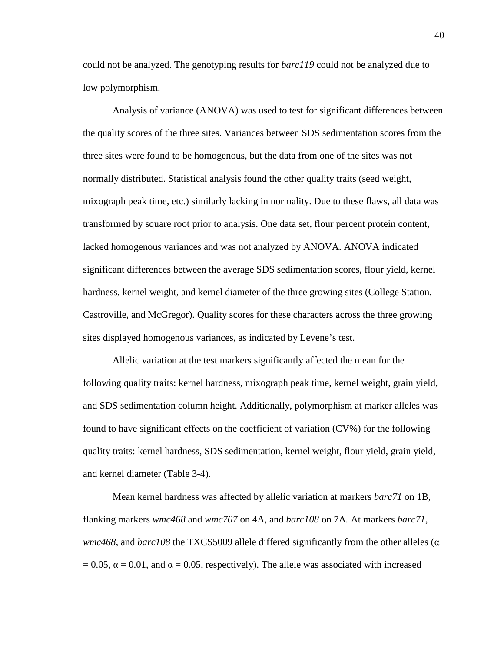could not be analyzed. The genotyping results for *barc119* could not be analyzed due to low polymorphism.

Analysis of variance (ANOVA) was used to test for significant differences between the quality scores of the three sites. Variances between SDS sedimentation scores from the three sites were found to be homogenous, but the data from one of the sites was not normally distributed. Statistical analysis found the other quality traits (seed weight, mixograph peak time, etc.) similarly lacking in normality. Due to these flaws, all data was transformed by square root prior to analysis. One data set, flour percent protein content, lacked homogenous variances and was not analyzed by ANOVA. ANOVA indicated significant differences between the average SDS sedimentation scores, flour yield, kernel hardness, kernel weight, and kernel diameter of the three growing sites (College Station, Castroville, and McGregor). Quality scores for these characters across the three growing sites displayed homogenous variances, as indicated by Levene's test.

Allelic variation at the test markers significantly affected the mean for the following quality traits: kernel hardness, mixograph peak time, kernel weight, grain yield, and SDS sedimentation column height. Additionally, polymorphism at marker alleles was found to have significant effects on the coefficient of variation (CV%) for the following quality traits: kernel hardness, SDS sedimentation, kernel weight, flour yield, grain yield, and kernel diameter (Table 3-4).

Mean kernel hardness was affected by allelic variation at markers *barc71* on 1B, flanking markers *wmc468* and *wmc707* on 4A*,* and *barc108* on 7A*.* At markers *barc71*, *wmc468,* and *barc108* the TXCS5009 allele differed significantly from the other alleles (α  $= 0.05$ ,  $\alpha = 0.01$ , and  $\alpha = 0.05$ , respectively). The allele was associated with increased

40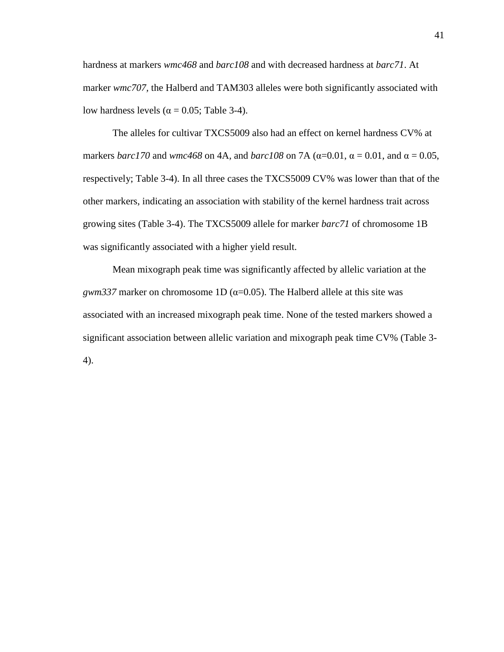hardness at markers *wmc468* and *barc108* and with decreased hardness at *barc71*. At marker *wmc707,* the Halberd and TAM303 alleles were both significantly associated with low hardness levels ( $α = 0.05$ ; Table 3-4).

The alleles for cultivar TXCS5009 also had an effect on kernel hardness CV% at markers *barc170* and *wmc468* on 4A, and *barc108* on 7A ( $\alpha$ =0.01,  $\alpha$  = 0.01, and  $\alpha$  = 0.05, respectively; Table 3-4). In all three cases the TXCS5009 CV% was lower than that of the other markers, indicating an association with stability of the kernel hardness trait across growing sites (Table 3-4). The TXCS5009 allele for marker *barc71* of chromosome 1B was significantly associated with a higher yield result.

Mean mixograph peak time was significantly affected by allelic variation at the *gwm337* marker on chromosome 1D ( $\alpha$ =0.05). The Halberd allele at this site was associated with an increased mixograph peak time. None of the tested markers showed a significant association between allelic variation and mixograph peak time CV% (Table 3- 4).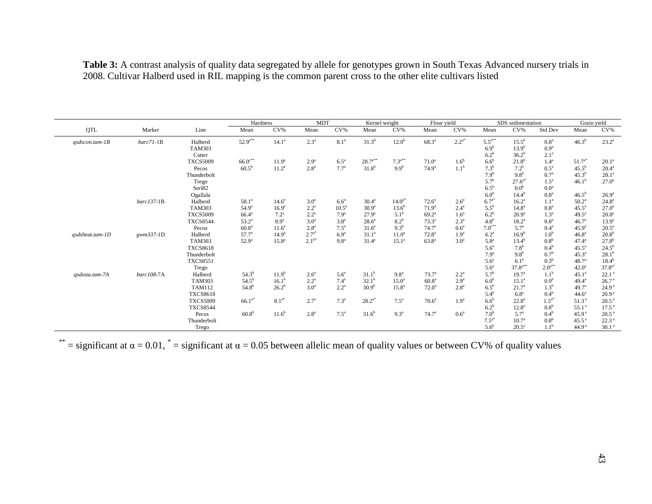|                      |                 |                 | Hardness          |                   | <b>MDT</b>       |                    | Kernel weight     |                    | Flour yield       |                  |                  | SDS sedimentation   |                    | Grain yield         |                   |
|----------------------|-----------------|-----------------|-------------------|-------------------|------------------|--------------------|-------------------|--------------------|-------------------|------------------|------------------|---------------------|--------------------|---------------------|-------------------|
| QTL                  | Marker          | Line            | Mean              | $CV\%$            | Mean             | $CV\%$             | Mean              | $CV\%$             | Mean              | $CV\%$           | Mean             | CV%                 | Std Dev            | Mean                | $CV\%$            |
| $qsdscon.$ tam- $1B$ | $barc$ 71-1 $B$ | Halberd         | $52.9^{a**}$      | $14.1^{\circ}$    | $2.3^a$          | 8.1 <sup>a</sup>   | $31.3^{b}$        | 12.0 <sup>b</sup>  | $68.3^{\circ}$    | $2.2^{a*}$       | $5.5^{a**}$      | $15.5^{\mathrm{b}}$ | 0.8 <sup>a</sup>   | 46.3 <sup>b</sup>   | $23.2^{\rm a}$    |
|                      |                 | <b>TAM303</b>   |                   |                   |                  |                    |                   |                    |                   |                  | 6.9 <sup>b</sup> | $13.9^{b}$          | 0.9 <sup>a</sup>   |                     |                   |
|                      |                 | Cutter          |                   |                   |                  |                    |                   |                    |                   |                  | $6.2^b$          | $36.2^{b}$          | 2.1 <sup>a</sup>   |                     |                   |
|                      |                 | <b>TXCS5009</b> | $66.0^{c**}$      | 11.9 <sup>a</sup> | 2.9 <sup>a</sup> | $6.5^a$            | $28.7^{a**}$      | $7.3^{a**}$        | $71.0^a$          | 1.6 <sup>b</sup> | $6.6^b$          | $21.8^{b}$          | $1.4^{a}$          | $51.7^{a*}$         | $20.1^a$          |
|                      |                 | Pecos           | $60.5^{b}$        | $11.2^a$          | 2.8 <sup>a</sup> | $7.7^{\rm a}$      | $31.8^{b}$        | 9.9 <sup>b</sup>   | 74.9 <sup>a</sup> | 1.1 <sup>b</sup> | $7.3^{b}$        | $7.2^b$             | $0.5^{\mathrm{a}}$ | $45.5^{b}$          | $20.4^{\rm a}$    |
|                      |                 | Thunderbolt     |                   |                   |                  |                    |                   |                    |                   |                  | 7.9 <sup>b</sup> | 9.8 <sup>b</sup>    | 0.7 <sup>a</sup>   | $45.3^{b}$          | $28.1^a$          |
|                      |                 | Trego           |                   |                   |                  |                    |                   |                    |                   |                  | $5.7^{b}$        | $27.6^{a*}$         | 1.5 <sup>a</sup>   | $46.1^{b}$          | $27.0^{\circ}$    |
|                      |                 | Seri82          |                   |                   |                  |                    |                   |                    |                   |                  | $6.5^{\rm b}$    | 0.0 <sup>b</sup>    | 0.0 <sup>a</sup>   |                     |                   |
|                      |                 | Ogallala        |                   |                   |                  |                    |                   |                    |                   |                  | 6.0 <sup>b</sup> | $14.4^{b}$          | 0.8 <sup>a</sup>   | $46.5^{\mathrm{b}}$ | $26.9^{a}$        |
|                      | $barc137-1B$    | Halberd         | $58.1^a$          | $14.6^{\circ}$    | 3.0 <sup>a</sup> | 6.6 <sup>a</sup>   | $30.4^{\circ}$    | $14.0^{a*}$        | $72.6^a$          | 2.6 <sup>a</sup> | $6.7^{a*}$       | $16.2^a$            | 1.1 <sup>a</sup>   | $50.2^{\circ}$      | $24.8^{\circ}$    |
|                      |                 | <b>TAM303</b>   | $54.9^{\circ}$    | 16.9 <sup>a</sup> | $2.2^{\rm a}$    | 10.5 <sup>a</sup>  | 30.9 <sup>a</sup> | $13.6^{b}$         | 71.9 <sup>a</sup> | $2.4^{\rm a}$    | $5.5^{b}$        | $14.8^{\circ}$      | 0.8 <sup>a</sup>   | $45.5^{\circ}$      | $27.0^{\circ}$    |
|                      |                 | <b>TXCS5009</b> | $66.4^{\circ}$    | $7.2^{\rm a}$     | $2.2^{\rm a}$    | 7.9 <sup>a</sup>   | $27.9^{a}$        | 5.1 <sup>b</sup>   | $69.2^a$          | 1.6 <sup>a</sup> | $6.2^b$          | $20.9^a$            | 1.3 <sup>a</sup>   | $49.5^{\circ}$      | 20.8 <sup>a</sup> |
|                      |                 | <b>TXCS8544</b> | $53.2^{\circ}$    | 8.9 <sup>a</sup>  | 3.0 <sup>a</sup> | 3.8 <sup>a</sup>   | $28.6^a$          | $8.2^b$            | $73.3^a$          | $2.3^{a}$        | 4.8 <sup>b</sup> | $18.2^a$            | 0.8 <sup>a</sup>   | 46.7 <sup>a</sup>   | $13.9^{a}$        |
|                      |                 | Pecos           | 60.8 <sup>a</sup> | 11.6 <sup>a</sup> | 2.8 <sup>a</sup> | $7.5^{\mathrm{a}}$ | 31.6 <sup>a</sup> | 9.3 <sup>b</sup>   | 74.7 <sup>a</sup> | 0.6 <sup>a</sup> | $7.0^{c**}$      | $5.7^{\circ}$       | $0.4^{\text{a}}$   | $45.9^{a}$          | $20.5^a$          |
| qsdsheat.tam-1D      | gwm337-1D       | Halberd         | $57.7^{\circ}$    | 14.9 <sup>a</sup> | $2.7^{a*}$       | 6.9 <sup>a</sup>   | 31.1 <sup>a</sup> | 11.0 <sup>a</sup>  | $72.8^{\rm a}$    | 1.9 <sup>a</sup> | 6.2 <sup>a</sup> | $16.9^{b}$          | 1.0 <sup>b</sup>   | $46.8^{a}$          | $20.8^{b}$        |
|                      |                 | <b>TAM303</b>   | $52.9^{\circ}$    | 15.8 <sup>a</sup> | $2.1^{b*}$       | 9.8 <sup>a</sup>   | $31.4^a$          | 15.1 <sup>a</sup>  | $63.8^{a}$        | 3.0 <sup>a</sup> | 5.8 <sup>a</sup> | $13.4^{b}$          | 0.8 <sup>b</sup>   | $47.4^{\circ}$      | $27.8^{b}$        |
|                      |                 | <b>TXCS8618</b> |                   |                   |                  |                    |                   |                    |                   |                  | 5.6 <sup>a</sup> | 7.8 <sup>b</sup>    | $0.4^b$            | $45.5^{\circ}$      | $24.5^{b}$        |
|                      |                 | Thunderbolt     |                   |                   |                  |                    |                   |                    |                   |                  | 7.9 <sup>a</sup> | 9.8 <sup>b</sup>    | 0.7 <sup>b</sup>   | $45.3^{a}$          | $28.1^{b}$        |
|                      |                 | <b>TXCS8551</b> |                   |                   |                  |                    |                   |                    |                   |                  | 5.6 <sup>a</sup> | 6.1 <sup>b</sup>    | 0.3 <sup>b</sup>   | 48.7 <sup>a</sup>   | $18.4^{b}$        |
|                      |                 | Trego           |                   |                   |                  |                    |                   |                    |                   |                  | 5.6 <sup>a</sup> | $37.8^{a**}$        | $2.0^{a**}$        | $42.0^a$            | $37.8^{a*}$       |
| qsdssta.tam-7A       | barc108-7A      | Halberd         | $54.3^{b}$        | $11.9^{b}$        | 2.6 <sup>a</sup> | 5.6 <sup>a</sup>   | $31.1^{b}$        | 9.8 <sup>a</sup>   | $73.7^{\rm a}$    | $2.2^{\rm a}$    | $5.7^{b}$        | 19.7 <sup>a</sup>   | 1.1 <sup>b</sup>   | $45.1^a$            | 22.1 <sup>a</sup> |
|                      |                 | <b>TAM303</b>   | $54.5^{b}$        | $16.1^{b}$        | $2.2^a$          | $7.4^{\rm a}$      | $32.1^{b}$        | $15.0^{\circ}$     | 60.8 <sup>a</sup> | 2.9 <sup>a</sup> | 6.0 <sup>b</sup> | $15.1^a$            | 0.9 <sup>b</sup>   | $49.4^{\circ}$      | 26.7 <sup>a</sup> |
|                      |                 | <b>TAM112</b>   | $54.8^{b}$        | $26.2^{b}$        | 3.0 <sup>a</sup> | $2.2^a$            | 30.9 <sup>b</sup> | $15.8^{a}$         | $72.0^{\rm a}$    | 2.8 <sup>a</sup> | $6.5^{\rm b}$    | $21.7^a$            | 1.3 <sup>b</sup>   | 49.7 <sup>a</sup>   | 24.9 <sup>a</sup> |
|                      |                 | <b>TXCS8618</b> |                   |                   |                  |                    |                   |                    |                   |                  | $5.4^{b}$        | 6.8 <sup>a</sup>    | $0.4^b$            | $44.6^{\circ}$      | 20.9 <sup>a</sup> |
|                      |                 | <b>TXCS5009</b> | $66.1^{a*}$       | $8.1^{a*}$        | $2.7^{a}$        | 7.3 <sup>a</sup>   | $28.2^{a*}$       | $7.5^{\mathrm{a}}$ | $70.6^a$          | 1.9 <sup>a</sup> | $6.6^b$          | $22.8^a$            | $1.5^{a}$          | 51.3 <sup>a</sup>   | $20.5^{\text{a}}$ |
|                      |                 | <b>TXCS8544</b> |                   |                   |                  |                    |                   |                    |                   |                  | $6.2^b$          | $12.8^a$            | 0.8 <sup>b</sup>   | 55.1 <sup>a</sup>   | 17.5 <sup>a</sup> |
|                      |                 | Pecos           | 60.8 <sup>b</sup> | $11.6^{b}$        | 2.8 <sup>a</sup> | $7.5^a$            | $31.6^{b}$        | 9.3 <sup>a</sup>   | $74.7^{\rm a}$    | 0.6 <sup>a</sup> | 7.0 <sup>b</sup> | $5.7^{\circ}$       | $0.4^b$            | 45.9 <sup>a</sup>   | $20.5^{\text{a}}$ |
|                      |                 | Thunderbolt     |                   |                   |                  |                    |                   |                    |                   |                  | $7.5^{a*}$       | 10.7 <sup>a</sup>   | 0.8 <sup>b</sup>   | $45.5^{\text{a}}$   | 22.3 <sup>a</sup> |
|                      |                 | Trego           |                   |                   |                  |                    |                   |                    |                   |                  | 5.6 <sup>b</sup> | $20.5^{\rm a}$      | $1.1^{\rm b}$      | 44.9 <sup>a</sup>   | 30.1 <sup>a</sup> |

**Table 3:** A contrast analysis of quality data segregated by allele for genotypes grown in South Texas Advanced nursery trials in 2008. Cultivar Halberd used in RIL mapping is the common parent cross to the other elite cultivars listed

 $^{**}$  = significant at  $\alpha$  = 0.01,  $^{*}$  = significant at  $\alpha$  = 0.05 between allelic mean of quality values or between CV% of quality values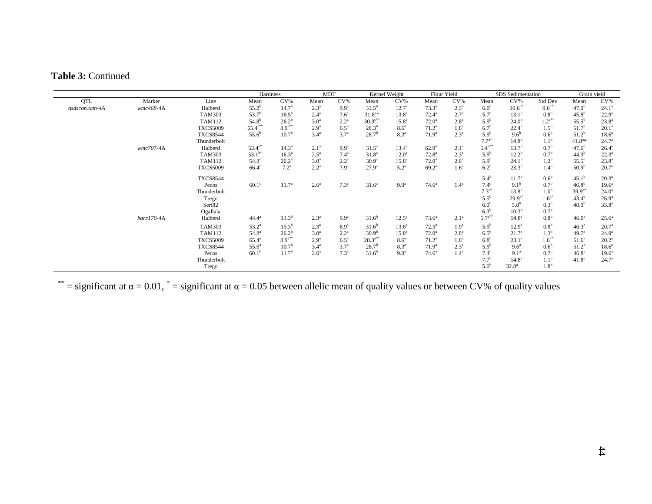## **Table 3:** Continued

|                |            |                 | Hardness          |                   | <b>MDT</b>       |                  | Kernel Weight     |                    | Flour Yield       |                  | SDS Sedimentation |                   |                  | Grain vield       |                   |
|----------------|------------|-----------------|-------------------|-------------------|------------------|------------------|-------------------|--------------------|-------------------|------------------|-------------------|-------------------|------------------|-------------------|-------------------|
| QTL            | Marker     | Line            | Mean              | $CV\%$            | Mean             | $CV\%$           | Mean              | $CV\%$             | Mean              | $CV\%$           | Mean              | $CV\%$            | Std Dev          | Mean              | $CV\%$            |
| qsdscon.tam-4A | wmc468-4A  | Halberd         | $55.2^b$          | 14.7 <sup>b</sup> | $2.3^{\circ}$    | 9.9 <sup>a</sup> | $31.5^{b}$        | $12.7^{\circ}$     | $73.3^{\circ}$    | $2.3^{\circ}$    | 6.0 <sup>b</sup>  | $10.6^{a*}$       | $0.6^{a*}$       | 47.0 <sup>b</sup> | $24.1^a$          |
|                |            | <b>TAM303</b>   | 53.7 <sup>b</sup> | $16.5^{\rm b}$    | $2.4^{\circ}$    | 7.6 <sup>a</sup> | $31.8^{a*}$       | $13.8^{\circ}$     | $72.4^a$          | $2.7^{\circ}$    | $5.7^{\rm b}$     | $13.1^{\rm b}$    | 0.8 <sup>b</sup> | $45.8^{b}$        | $22.9^{\rm a}$    |
|                |            | <b>TAM112</b>   | $54.8^{b}$        | $26.2^{b}$        | 3.0 <sup>a</sup> | $2.2^{\rm a}$    | $30.9^{c**}$      | $15.8^{\rm a}$     | $72.0^a$          | 2.8 <sup>a</sup> | 5.9 <sup>b</sup>  | $24.0^{b}$        | $1.2^{c**}$      | $55.5^{\rm b}$    | $23.8^{a}$        |
|                |            | <b>TXCS5009</b> | $65.4^{a**}$      | $8.9^{a**}$       | 2.9 <sup>a</sup> | $6.5^a$          | $28.3^{b}$        | 8.6 <sup>a</sup>   | $71.2^a$          | 1.8 <sup>a</sup> | $6.7^{\rm b}$     | $22.4^{b}$        | $1.5^{\rm b}$    | 51.7 <sup>b</sup> | $20.1^{\rm a}$    |
|                |            | <b>TXCS8544</b> | $55.6^b$          | 10.7 <sup>b</sup> | 3.4 <sup>a</sup> | 3.7 <sup>a</sup> | $28.7^{b}$        | 8.3 <sup>a</sup>   | 71.9 <sup>a</sup> | $2.3^{\circ}$    | 5.9 <sup>b</sup>  | 9.6 <sup>b</sup>  | 0.6 <sup>b</sup> | $51.2^{b}$        | 18.6 <sup>a</sup> |
|                |            | Thunderbolt     |                   |                   |                  |                  |                   |                    |                   |                  | $7.7^{a*}$        | $14.8^{b}$        | 1.1 <sup>b</sup> | $41.8^{a*}$       | $24.7^{\circ}$    |
|                | wmc707-4A  | Halberd         | $53.4^{a*}$       | $14.3^{\circ}$    | $2.1^a$          | 9.9 <sup>a</sup> | $31.5^a$          | $13.4^{\circ}$     | $62.9^{a}$        | $2.1^{\circ}$    | $5.4^{a**}$       | 13.7 <sup>b</sup> | 0.7 <sup>b</sup> | $47.6^{b}$        | $26.4^{\rm a}$    |
|                |            | <b>TAM303</b>   | $53.1^{b*}$       | $16.3^{\circ}$    | $2.5^{\circ}$    | $7.4^{\rm a}$    | 31.8 <sup>a</sup> | $12.0^{\circ}$     | 72.8 <sup>a</sup> | $2.3^{a}$        | 5.9 <sup>b</sup>  | $12.2^{\rm b}$    | 0.7 <sup>b</sup> | 44.9 <sup>b</sup> | $22.3^a$          |
|                |            | <b>TAM112</b>   | $54.8^\circ$      | $26.2^a$          | 3.0 <sup>a</sup> | $2.2^{\rm a}$    | 30.9 <sup>a</sup> | $15.8^{\rm a}$     | $72.0^{\circ}$    | 2.8 <sup>a</sup> | 5.9 <sup>b</sup>  | $24.1^{b}$        | 1.2 <sup>b</sup> | $55.5^{b}$        | $23.8^{a}$        |
|                |            | <b>TXCS5009</b> | $66.4^\circ$      | $7.2^{\rm a}$     | $2.2^{\rm a}$    | 7.9 <sup>a</sup> | $27.9^{a}$        | $5.2^{\mathrm{a}}$ | $69.2^{\text{a}}$ | 1.6 <sup>a</sup> | $6.2^b$           | $23.3^{b}$        | $1.4^{\rm b}$    | 50.9 <sup>b</sup> | $20.7^{\rm a}$    |
|                |            | <b>TXCS8544</b> |                   |                   |                  |                  |                   |                    |                   |                  | $5.4^{\rm b}$     | 11.7 <sup>b</sup> | 0.6 <sup>b</sup> | $45.1^{b}$        | $20.3^{\circ}$    |
|                |            | Pecos           | $60.1^\circ$      | 11.7 <sup>a</sup> | 2.6 <sup>a</sup> | 7.3 <sup>a</sup> | 31.6 <sup>a</sup> | 9.0 <sup>a</sup>   | $74.6^{\circ}$    | 1.4 <sup>a</sup> | $7.4^{b}$         | $9.1^{b}$         | 0.7 <sup>b</sup> | $46.8^{b}$        | $19.6^{\circ}$    |
|                |            | Thunderbolt     |                   |                   |                  |                  |                   |                    |                   |                  | $7.3^{c}$         | $13.8^{b}$        | 1.0 <sup>b</sup> | $39.9^{a*}$       | $24.0^{\circ}$    |
|                |            | Trego           |                   |                   |                  |                  |                   |                    |                   |                  | $5.5^{b}$         | $29.9^{a*}$       | $1.6^{a*}$       | $43.4^{b}$        | $26.9^{\rm a}$    |
|                |            | Seri82          |                   |                   |                  |                  |                   |                    |                   |                  | 6.0 <sup>b</sup>  | 5.8 <sup>b</sup>  | 0.3 <sup>b</sup> | 48.0 <sup>b</sup> | $33.8^{a}$        |
|                |            | Ogallala        |                   |                   |                  |                  |                   |                    |                   |                  | $6.3^b$           | $10.3^{b}$        | 0.7 <sup>b</sup> |                   |                   |
|                | barc170-4A | Halberd         | $44.4^{\rm a}$    | $13.3^{b}$        | $2.3^{\circ}$    | 9.9 <sup>a</sup> | $31.6^{b}$        | $12.5^{\circ}$     | $73.6^{\circ}$    | $2.1^{\circ}$    | $5.7^{a**}$       | 14.8 <sup>a</sup> | 0.8 <sup>b</sup> | 46.0 <sup>a</sup> | $25.6^a$          |
|                |            | <b>TAM303</b>   | $53.2^{\rm a}$    | $15.3^{b}$        | $2.3^{a}$        | 8.9 <sup>a</sup> | $31.6^{b}$        | $13.6^a$           | $72.5^{\circ}$    | 1.9 <sup>a</sup> | 5.9 <sup>b</sup>  | $12.9^a$          | 0.8 <sup>b</sup> | $46.3^{a}$        | $20.7^{\rm a}$    |
|                |            | <b>TAM112</b>   | $54.8^{\circ}$    | $26.2^{b}$        | 3.0 <sup>a</sup> | $2.2^{\rm a}$    | 30.9 <sup>b</sup> | $15.8^{\rm a}$     | $72.0^{\rm a}$    | 2.8 <sup>a</sup> | $6.5^{\rm b}$     | 21.7 <sup>a</sup> | 1.3 <sup>b</sup> | 49.7 <sup>a</sup> | $24.9^{\rm a}$    |
|                |            | <b>TXCS5009</b> | $65.4^{\circ}$    | $8.9^{a**}$       | 2.9 <sup>a</sup> | $6.5^a$          | $28.3^{a**}$      | 8.6 <sup>a</sup>   | $71.2^a$          | 1.8 <sup>a</sup> | 6.8 <sup>b</sup>  | $23.1^a$          | $1.6^{a*}$       | $51.6^a$          | $20.2^{\rm a}$    |
|                |            | <b>TXCS8544</b> | $55.6^a$          | 10.7 <sup>b</sup> | 3.4 <sup>a</sup> | 3.7 <sup>a</sup> | $28.7^{b}$        | 8.3 <sup>a</sup>   | 71.9 <sup>a</sup> | $2.3^{\circ}$    | 5.9 <sup>b</sup>  | 9.6 <sup>a</sup>  | 0.6 <sup>b</sup> | $51.2^a$          | 18.6 <sup>a</sup> |
|                |            | Pecos           | $60.1^{\rm b}$    | 11.7 <sup>b</sup> | $2.6^{\circ}$    | 7.3 <sup>a</sup> | $31.6^{b}$        | 9.0 <sup>a</sup>   | $74.6^{\circ}$    | 1.4 <sup>a</sup> | $7.4^{b}$         | 9.1 <sup>a</sup>  | 0.7 <sup>b</sup> | 46.8 <sup>a</sup> | $19.6^{\circ}$    |
|                |            | Thunderbolt     |                   |                   |                  |                  |                   |                    |                   |                  | $7.7^{b}$         | 14.8 <sup>a</sup> | 1.1 <sup>b</sup> | 41.8 <sup>a</sup> | $24.7^{\circ}$    |
|                |            | Trego           |                   |                   |                  |                  |                   |                    |                   |                  | $5.6^{\rm b}$     | 32.8 <sup>a</sup> | 1.8 <sup>b</sup> |                   |                   |

 $^{**}$  = significant at  $\alpha$  = 0.01,  $^{*}$  = significant at  $\alpha$  = 0.05 between allelic mean of quality values or between CV% of quality values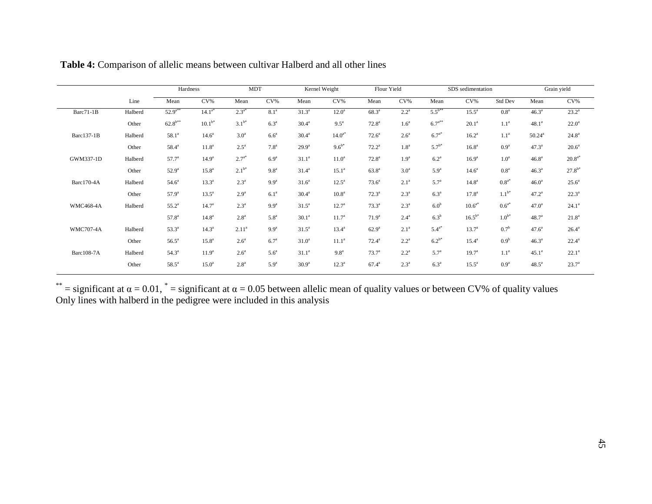|                  |         | Hardness          |                   | <b>MDT</b>       |                  |                   | Kernel Weight      |                   | Flour Yield      |                  | SDS sedimentation |                  |                   | Grain yield       |  |
|------------------|---------|-------------------|-------------------|------------------|------------------|-------------------|--------------------|-------------------|------------------|------------------|-------------------|------------------|-------------------|-------------------|--|
|                  | Line    | Mean              | $CV\%$            | Mean             | $CV\%$           | Mean              | $CV\%$             | Mean              | $CV\%$           | Mean             | $CV\%$            | Std Dev          | Mean              | $CV\%$            |  |
| Barc71-1B        | Halberd | $52.9^{a**}$      | $14.1^{a*}$       | $2.3^{a*}$       | 8.1 <sup>a</sup> | $31.3^{a}$        | $12.0^a$           | $68.3^{a}$        | $2.2^{\circ}$    | $5.5^{b**}$      | $15.5^{\circ}$    | 0.8 <sup>a</sup> | $46.3^{a}$        | $23.2^a$          |  |
|                  | Other   | $62.8^{b**}$      | $10.1^{b*}$       | $3.1^{b*}$       | 6.3 <sup>a</sup> | 30.4 <sup>a</sup> | $9.5^{\mathrm{a}}$ | $72.8^a$          | 1.6 <sup>a</sup> | $6.7^{a**}$      | $20.1^a$          | 1.1 <sup>a</sup> | 48.1 <sup>a</sup> | $22.0^a$          |  |
| Barc137-1B       | Halberd | $58.1^a$          | 14.6 <sup>a</sup> | 3.0 <sup>a</sup> | 6.6 <sup>a</sup> | $30.4^{a}$        | $14.0^{a*}$        | $72.6^a$          | 2.6 <sup>a</sup> | $6.7^{a*}$       | $16.2^a$          | 1.1 <sup>a</sup> | $50.24^{a}$       | $24.8^{\rm a}$    |  |
|                  | Other   | $58.4^{a}$        | 11.8 <sup>a</sup> | $2.5^{\circ}$    | 7.8 <sup>a</sup> | $29.9^{a}$        | $9.6^{b*}$         | $72.2^a$          | 1.8 <sup>a</sup> | $5.7^{b*}$       | 16.8 <sup>a</sup> | 0.9 <sup>a</sup> | $47.3^{a}$        | 20.6 <sup>a</sup> |  |
| GWM337-1D        | Halberd | $57.7^{\circ}$    | 14.9 <sup>a</sup> | $2.7^{a*}$       | 6.9 <sup>a</sup> | 31.1 <sup>a</sup> | 11.0 <sup>a</sup>  | $72.8^{\circ}$    | 1.9 <sup>a</sup> | 6.2 <sup>a</sup> | $16.9^{a}$        | 1.0 <sup>a</sup> | 46.8 <sup>a</sup> | $20.8^{a*}$       |  |
|                  | Other   | $52.9^{a}$        | $15.8^{\circ}$    | $2.1^{b*}$       | 9.8 <sup>a</sup> | $31.4^a$          | $15.1^a$           | $63.8^{a}$        | 3.0 <sup>a</sup> | 5.9 <sup>a</sup> | 14.6 <sup>a</sup> | 0.8 <sup>a</sup> | $46.3^{a}$        | $27.8^{b*}$       |  |
| Barc170-4A       | Halberd | 54.6 <sup>a</sup> | $13.3^{a}$        | $2.3^{\circ}$    | 9.9 <sup>a</sup> | 31.6 <sup>a</sup> | $12.5^{\circ}$     | $73.6^a$          | 2.1 <sup>a</sup> | $5.7^{a}$        | $14.8^{\rm a}$    | $0.8^{a*}$       | 46.0 <sup>a</sup> | $25.6^a$          |  |
|                  | Other   | $57.9^{\circ}$    | $13.5^{\circ}$    | 2.9 <sup>a</sup> | 6.1 <sup>a</sup> | 30.4 <sup>a</sup> | 10.8 <sup>a</sup>  | $72.3^a$          | $2.3^{\circ}$    | 6.3 <sup>a</sup> | $17.8^{\circ}$    | $1.1^{b*}$       | $47.2^a$          | $22.3^a$          |  |
| <b>WMC468-4A</b> | Halberd | $55.2^{\circ}$    | $14.7^{\circ}$    | $2.3^{\circ}$    | 9.9 <sup>a</sup> | $31.5^a$          | $12.7^{\circ}$     | $73.3^{a}$        | $2.3^{\circ}$    | 6.0 <sup>b</sup> | $10.6^{a*}$       | $0.6^{a*}$       | 47.0 <sup>a</sup> | $24.1^a$          |  |
|                  |         | 57.8 <sup>a</sup> | 14.8 <sup>a</sup> | 2.8 <sup>a</sup> | 5.8 <sup>a</sup> | 30.1 <sup>a</sup> | 11.7 <sup>a</sup>  | 71.9 <sup>a</sup> | $2.4^{\circ}$    | $6.3^b$          | $16.5^{b*}$       | $1.0^{\rm b*}$   | 48.7 <sup>a</sup> | $21.8^a$          |  |
| <b>WMC707-4A</b> | Halberd | $53.3^a$          | $14.3^a$          | $2.11^{a}$       | 9.9 <sup>a</sup> | $31.5^a$          | $13.4^{\circ}$     | $62.9^{\rm a}$    | 2.1 <sup>a</sup> | $5.4^{a*}$       | $13.7^{a}$        | 0.7 <sup>b</sup> | 47.6 <sup>a</sup> | $26.4^{\rm a}$    |  |
|                  | Other   | $56.5^a$          | $15.8^{\circ}$    | 2.6 <sup>a</sup> | 6.7 <sup>a</sup> | 31.0 <sup>a</sup> | $11.1^a$           | $72.4^a$          | $2.2^{\rm a}$    | $6.2^{b*}$       | $15.4^{\rm a}$    | 0.9 <sup>b</sup> | 46.3 <sup>a</sup> | $22.4^a$          |  |
| Barc108-7A       | Halberd | $54.3^{\circ}$    | 11.9 <sup>a</sup> | 2.6 <sup>a</sup> | 5.6 <sup>a</sup> | 31.1 <sup>a</sup> | 9.8 <sup>a</sup>   | $73.7^a$          | $2.2^{\rm a}$    | $5.7^{a}$        | 19.7 <sup>a</sup> | 1.1 <sup>a</sup> | 45.1 <sup>a</sup> | $22.1^a$          |  |
|                  | Other   | $58.5^{\circ}$    | 15.0 <sup>a</sup> | 2.8 <sup>a</sup> | 5.9 <sup>a</sup> | 30.9 <sup>a</sup> | $12.3^a$           | $67.4^{\rm a}$    | $2.3^{\circ}$    | 6.3 <sup>a</sup> | $15.5^{\circ}$    | 0.9 <sup>a</sup> | $48.5^{\circ}$    | $23.7^{a}$        |  |
|                  |         |                   |                   |                  |                  |                   |                    |                   |                  |                  |                   |                  |                   |                   |  |

**Table 4:** Comparison of allelic means between cultivar Halberd and all other lines

 $^{**}$  = significant at  $\alpha$  = 0.01,  $^{*}$  = significant at  $\alpha$  = 0.05 between allelic mean of quality values or between CV% of quality values Only lines with halberd in the pedigree were included in this analysis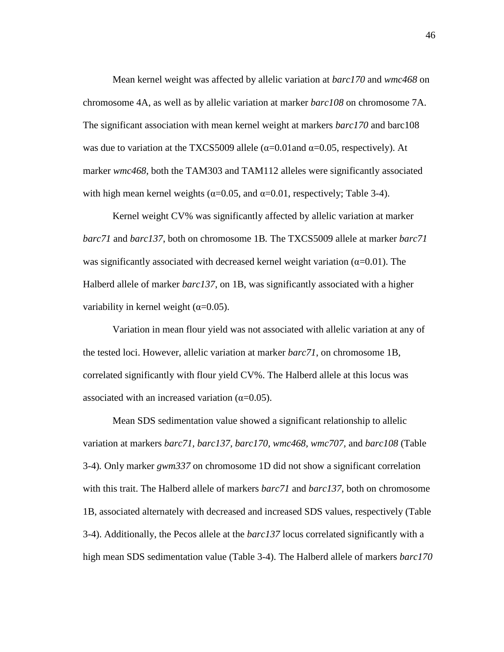Mean kernel weight was affected by allelic variation at *barc170* and *wmc468* on chromosome 4A, as well as by allelic variation at marker *barc108* on chromosome 7A. The significant association with mean kernel weight at markers *barc170* and barc108 was due to variation at the TXCS5009 allele ( $\alpha$ =0.01 and  $\alpha$ =0.05, respectively). At marker *wmc468*, both the TAM303 and TAM112 alleles were significantly associated with high mean kernel weights ( $\alpha$ =0.05, and  $\alpha$ =0.01, respectively; Table 3-4).

Kernel weight CV% was significantly affected by allelic variation at marker *barc71* and *barc137*, both on chromosome 1B*.* The TXCS5009 allele at marker *barc71* was significantly associated with decreased kernel weight variation ( $\alpha$ =0.01). The Halberd allele of marker *barc137*, on 1B, was significantly associated with a higher variability in kernel weight  $(\alpha=0.05)$ .

Variation in mean flour yield was not associated with allelic variation at any of the tested loci. However, allelic variation at marker *barc71*, on chromosome 1B, correlated significantly with flour yield CV%. The Halberd allele at this locus was associated with an increased variation  $(\alpha=0.05)$ .

Mean SDS sedimentation value showed a significant relationship to allelic variation at markers *barc71, barc137, barc170, wmc468, wmc707,* and *barc108* (Table 3-4)*.* Only marker *gwm337* on chromosome 1D did not show a significant correlation with this trait. The Halberd allele of markers *barc71* and *barc137*, both on chromosome 1B, associated alternately with decreased and increased SDS values, respectively (Table 3-4). Additionally, the Pecos allele at the *barc137* locus correlated significantly with a high mean SDS sedimentation value (Table 3-4). The Halberd allele of markers *barc170*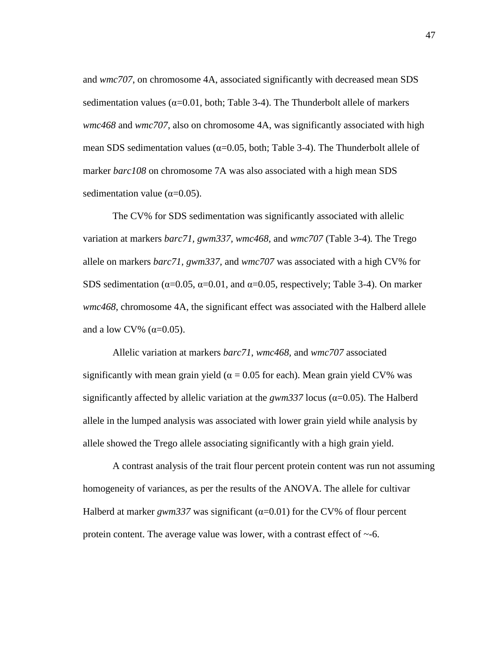and *wmc707*, on chromosome 4A, associated significantly with decreased mean SDS sedimentation values ( $\alpha$ =0.01, both; Table 3-4). The Thunderbolt allele of markers *wmc468* and *wmc707*, also on chromosome 4A, was significantly associated with high mean SDS sedimentation values ( $\alpha$ =0.05, both; Table 3-4). The Thunderbolt allele of marker *barc108* on chromosome 7A was also associated with a high mean SDS sedimentation value ( $\alpha$ =0.05).

The CV% for SDS sedimentation was significantly associated with allelic variation at markers *barc71, gwm337, wmc468,* and *wmc707* (Table 3-4)*.* The Trego allele on markers *barc71, gwm337,* and *wmc707* was associated with a high CV% for SDS sedimentation ( $\alpha$ =0.05,  $\alpha$ =0.01, and  $\alpha$ =0.05, respectively; Table 3-4). On marker *wmc468*, chromosome 4A, the significant effect was associated with the Halberd allele and a low CV% ( $\alpha$ =0.05).

Allelic variation at markers *barc71*, *wmc468,* and *wmc707* associated significantly with mean grain yield ( $\alpha$  = 0.05 for each). Mean grain yield CV% was significantly affected by allelic variation at the *gwm337* locus (α=0.05). The Halberd allele in the lumped analysis was associated with lower grain yield while analysis by allele showed the Trego allele associating significantly with a high grain yield.

A contrast analysis of the trait flour percent protein content was run not assuming homogeneity of variances, as per the results of the ANOVA. The allele for cultivar Halberd at marker  $gwm337$  was significant ( $\alpha$ =0.01) for the CV% of flour percent protein content. The average value was lower, with a contrast effect of ~-6.

47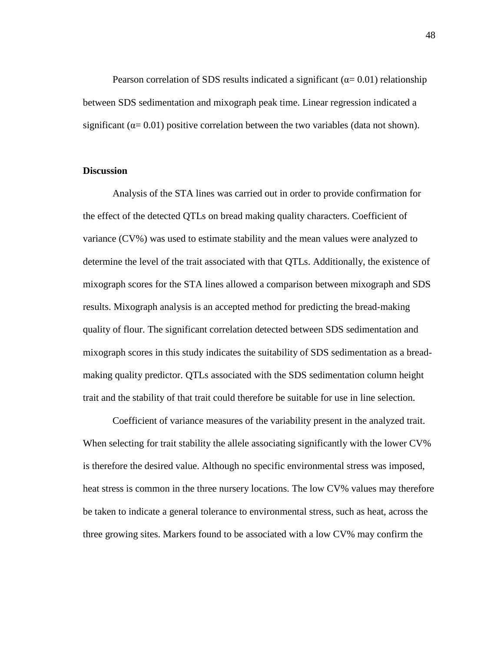Pearson correlation of SDS results indicated a significant ( $\alpha$ = 0.01) relationship between SDS sedimentation and mixograph peak time. Linear regression indicated a significant ( $\alpha$ = 0.01) positive correlation between the two variables (data not shown).

#### **Discussion**

Analysis of the STA lines was carried out in order to provide confirmation for the effect of the detected QTLs on bread making quality characters. Coefficient of variance (CV%) was used to estimate stability and the mean values were analyzed to determine the level of the trait associated with that QTLs. Additionally, the existence of mixograph scores for the STA lines allowed a comparison between mixograph and SDS results. Mixograph analysis is an accepted method for predicting the bread-making quality of flour. The significant correlation detected between SDS sedimentation and mixograph scores in this study indicates the suitability of SDS sedimentation as a breadmaking quality predictor. QTLs associated with the SDS sedimentation column height trait and the stability of that trait could therefore be suitable for use in line selection.

Coefficient of variance measures of the variability present in the analyzed trait. When selecting for trait stability the allele associating significantly with the lower CV% is therefore the desired value. Although no specific environmental stress was imposed, heat stress is common in the three nursery locations. The low CV% values may therefore be taken to indicate a general tolerance to environmental stress, such as heat, across the three growing sites. Markers found to be associated with a low CV% may confirm the

48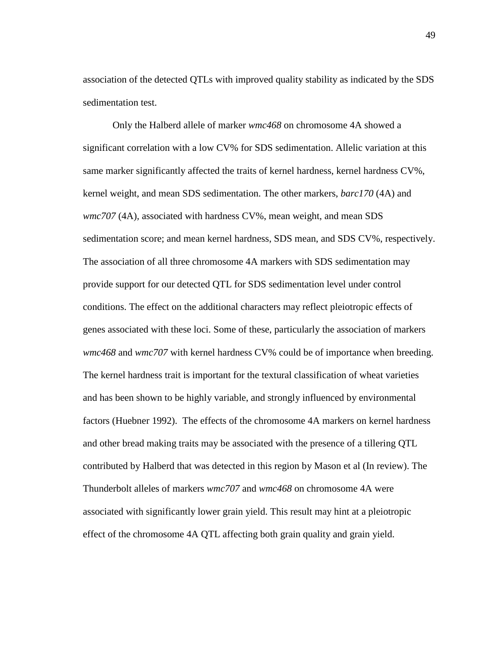association of the detected QTLs with improved quality stability as indicated by the SDS sedimentation test.

Only the Halberd allele of marker *wmc468* on chromosome 4A showed a significant correlation with a low CV% for SDS sedimentation. Allelic variation at this same marker significantly affected the traits of kernel hardness, kernel hardness CV%, kernel weight, and mean SDS sedimentation. The other markers, *barc170* (4A) and *wmc707* (4A)*,* associated with hardness CV%, mean weight, and mean SDS sedimentation score; and mean kernel hardness, SDS mean, and SDS CV%, respectively. The association of all three chromosome 4A markers with SDS sedimentation may provide support for our detected QTL for SDS sedimentation level under control conditions. The effect on the additional characters may reflect pleiotropic effects of genes associated with these loci. Some of these, particularly the association of markers *wmc468* and *wmc707* with kernel hardness CV% could be of importance when breeding. The kernel hardness trait is important for the textural classification of wheat varieties and has been shown to be highly variable, and strongly influenced by environmental factors (Huebner 1992). The effects of the chromosome 4A markers on kernel hardness and other bread making traits may be associated with the presence of a tillering QTL contributed by Halberd that was detected in this region by Mason et al (In review). The Thunderbolt alleles of markers *wmc707* and *wmc468* on chromosome 4A were associated with significantly lower grain yield. This result may hint at a pleiotropic effect of the chromosome 4A QTL affecting both grain quality and grain yield.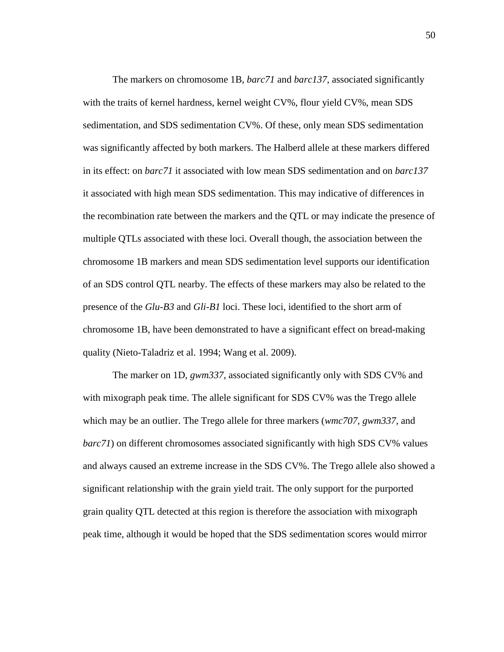The markers on chromosome 1B, *barc71* and *barc137,* associated significantly with the traits of kernel hardness, kernel weight CV%, flour yield CV%, mean SDS sedimentation, and SDS sedimentation CV%. Of these, only mean SDS sedimentation was significantly affected by both markers. The Halberd allele at these markers differed in its effect: on *barc71* it associated with low mean SDS sedimentation and on *barc137* it associated with high mean SDS sedimentation. This may indicative of differences in the recombination rate between the markers and the QTL or may indicate the presence of multiple QTLs associated with these loci. Overall though, the association between the chromosome 1B markers and mean SDS sedimentation level supports our identification of an SDS control QTL nearby. The effects of these markers may also be related to the presence of the *Glu-B3* and *Gli-B1* loci. These loci, identified to the short arm of chromosome 1B, have been demonstrated to have a significant effect on bread-making quality (Nieto-Taladriz et al. 1994; Wang et al. 2009).

The marker on 1D, *gwm337*, associated significantly only with SDS CV% and with mixograph peak time. The allele significant for SDS CV% was the Trego allele which may be an outlier. The Trego allele for three markers (*wmc707, gwm337,* and *barc71*) on different chromosomes associated significantly with high SDS CV% values and always caused an extreme increase in the SDS CV%. The Trego allele also showed a significant relationship with the grain yield trait. The only support for the purported grain quality QTL detected at this region is therefore the association with mixograph peak time, although it would be hoped that the SDS sedimentation scores would mirror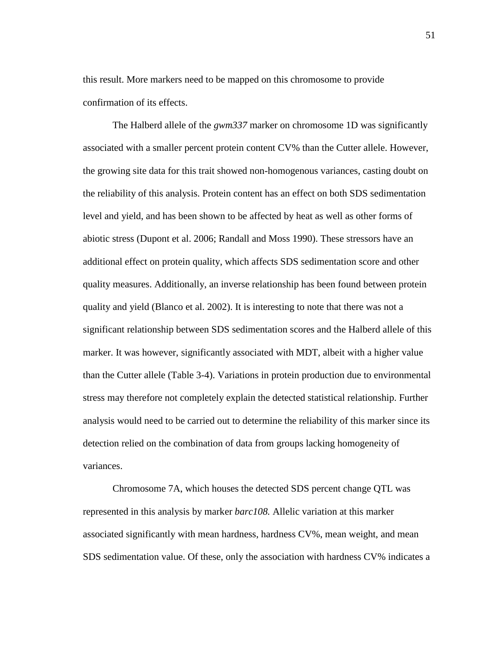this result. More markers need to be mapped on this chromosome to provide confirmation of its effects.

The Halberd allele of the *gwm337* marker on chromosome 1D was significantly associated with a smaller percent protein content CV% than the Cutter allele. However, the growing site data for this trait showed non-homogenous variances, casting doubt on the reliability of this analysis. Protein content has an effect on both SDS sedimentation level and yield, and has been shown to be affected by heat as well as other forms of abiotic stress (Dupont et al. 2006; Randall and Moss 1990). These stressors have an additional effect on protein quality, which affects SDS sedimentation score and other quality measures. Additionally, an inverse relationship has been found between protein quality and yield (Blanco et al. 2002). It is interesting to note that there was not a significant relationship between SDS sedimentation scores and the Halberd allele of this marker. It was however, significantly associated with MDT, albeit with a higher value than the Cutter allele (Table 3-4). Variations in protein production due to environmental stress may therefore not completely explain the detected statistical relationship. Further analysis would need to be carried out to determine the reliability of this marker since its detection relied on the combination of data from groups lacking homogeneity of variances.

Chromosome 7A, which houses the detected SDS percent change QTL was represented in this analysis by marker *barc108.* Allelic variation at this marker associated significantly with mean hardness, hardness CV%, mean weight, and mean SDS sedimentation value. Of these, only the association with hardness CV% indicates a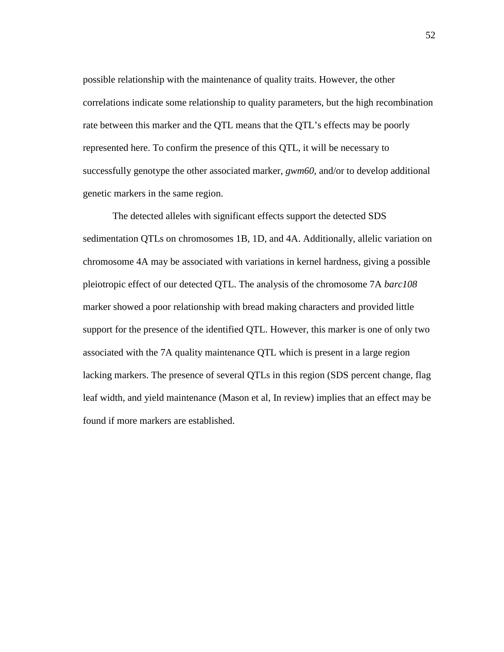possible relationship with the maintenance of quality traits. However, the other correlations indicate some relationship to quality parameters, but the high recombination rate between this marker and the QTL means that the QTL's effects may be poorly represented here. To confirm the presence of this QTL, it will be necessary to successfully genotype the other associated marker, *gwm60*, and/or to develop additional genetic markers in the same region.

The detected alleles with significant effects support the detected SDS sedimentation QTLs on chromosomes 1B, 1D, and 4A. Additionally, allelic variation on chromosome 4A may be associated with variations in kernel hardness, giving a possible pleiotropic effect of our detected QTL. The analysis of the chromosome 7A *barc108* marker showed a poor relationship with bread making characters and provided little support for the presence of the identified QTL. However, this marker is one of only two associated with the 7A quality maintenance QTL which is present in a large region lacking markers. The presence of several QTLs in this region (SDS percent change, flag leaf width, and yield maintenance (Mason et al, In review) implies that an effect may be found if more markers are established.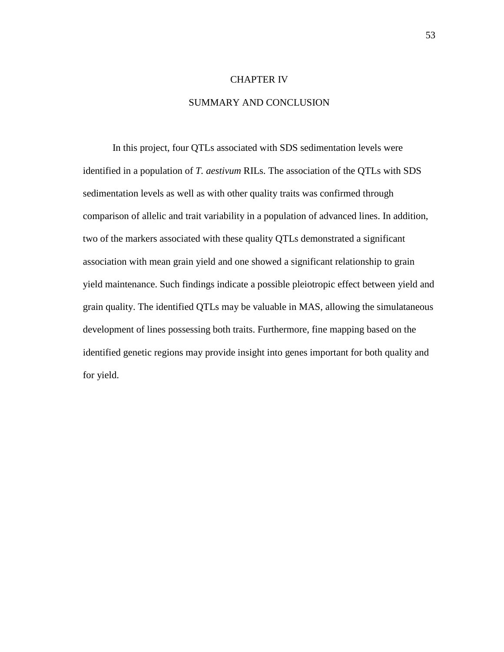#### CHAPTER IV

#### SUMMARY AND CONCLUSION

In this project, four QTLs associated with SDS sedimentation levels were identified in a population of *T. aestivum* RILs. The association of the QTLs with SDS sedimentation levels as well as with other quality traits was confirmed through comparison of allelic and trait variability in a population of advanced lines. In addition, two of the markers associated with these quality QTLs demonstrated a significant association with mean grain yield and one showed a significant relationship to grain yield maintenance. Such findings indicate a possible pleiotropic effect between yield and grain quality. The identified QTLs may be valuable in MAS, allowing the simulataneous development of lines possessing both traits. Furthermore, fine mapping based on the identified genetic regions may provide insight into genes important for both quality and for yield.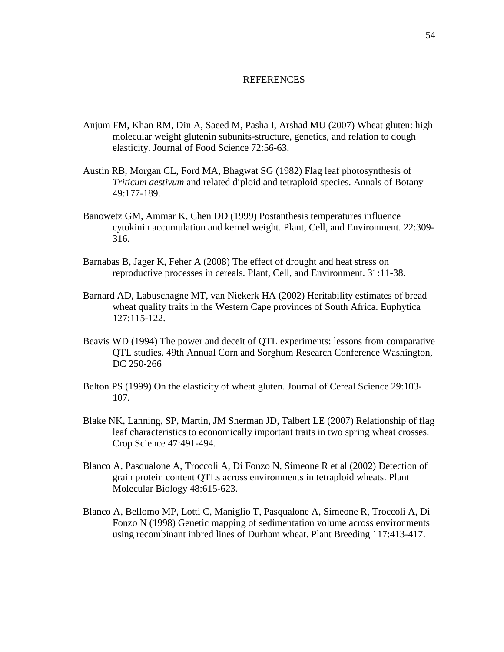#### REFERENCES

- Anjum FM, Khan RM, Din A, Saeed M, Pasha I, Arshad MU (2007) Wheat gluten: high molecular weight glutenin subunits-structure, genetics, and relation to dough elasticity. Journal of Food Science 72:56-63.
- Austin RB, Morgan CL, Ford MA, Bhagwat SG (1982) Flag leaf photosynthesis of *Triticum aestivum* and related diploid and tetraploid species. Annals of Botany 49:177-189.
- Banowetz GM, Ammar K, Chen DD (1999) Postanthesis temperatures influence cytokinin accumulation and kernel weight. Plant, Cell, and Environment. 22:309- 316.
- Barnabas B, Jager K, Feher A (2008) The effect of drought and heat stress on reproductive processes in cereals. Plant, Cell, and Environment. 31:11-38.
- Barnard AD, Labuschagne MT, van Niekerk HA (2002) Heritability estimates of bread wheat quality traits in the Western Cape provinces of South Africa. Euphytica 127:115-122.
- Beavis WD (1994) The power and deceit of QTL experiments: lessons from comparative QTL studies. 49th Annual Corn and Sorghum Research Conference Washington, DC 250-266
- Belton PS (1999) On the elasticity of wheat gluten. Journal of Cereal Science 29:103- 107.
- Blake NK, Lanning, SP, Martin, JM Sherman JD, Talbert LE (2007) Relationship of flag leaf characteristics to economically important traits in two spring wheat crosses. Crop Science 47:491-494.
- Blanco A, Pasqualone A, Troccoli A, Di Fonzo N, Simeone R et al (2002) Detection of grain protein content QTLs across environments in tetraploid wheats. Plant Molecular Biology 48:615-623.
- Blanco A, Bellomo MP, Lotti C, Maniglio T, Pasqualone A, Simeone R, Troccoli A, Di Fonzo N (1998) Genetic mapping of sedimentation volume across environments using recombinant inbred lines of Durham wheat. Plant Breeding 117:413-417.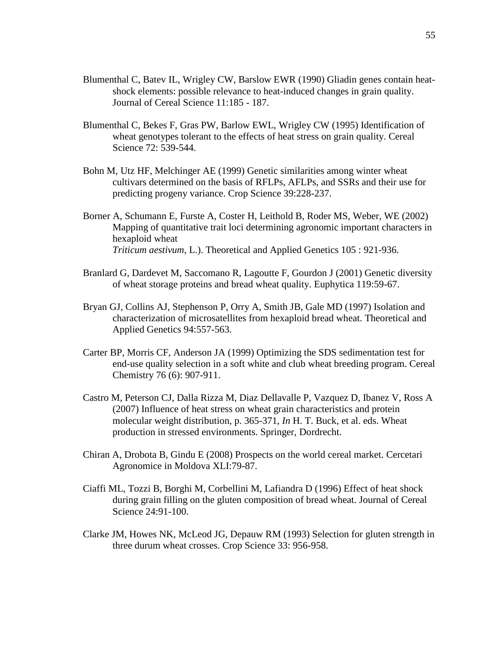- Blumenthal C, Batev IL, Wrigley CW, Barslow EWR (1990) Gliadin genes contain heatshock elements: possible relevance to heat-induced changes in grain quality. Journal of Cereal Science 11:185 - 187.
- Blumenthal C, Bekes F, Gras PW, Barlow EWL, Wrigley CW (1995) Identification of wheat genotypes tolerant to the effects of heat stress on grain quality. Cereal Science 72: 539-544.
- Bohn M, Utz HF, Melchinger AE (1999) Genetic similarities among winter wheat cultivars determined on the basis of RFLPs, AFLPs, and SSRs and their use for predicting progeny variance. Crop Science 39:228-237.
- Borner A, Schumann E, Furste A, Coster H, Leithold B, Roder MS, Weber, WE (2002) Mapping of quantitative trait loci determining agronomic important characters in hexaploid wheat *Triticum aestivum,* L.). Theoretical and Applied Genetics 105 : 921-936.
- Branlard G, Dardevet M, Saccomano R, Lagoutte F, Gourdon J (2001) Genetic diversity of wheat storage proteins and bread wheat quality. Euphytica 119:59-67.
- Bryan GJ, Collins AJ, Stephenson P, Orry A, Smith JB, Gale MD (1997) Isolation and characterization of microsatellites from hexaploid bread wheat. Theoretical and Applied Genetics 94:557-563.
- Carter BP, Morris CF, Anderson JA (1999) Optimizing the SDS sedimentation test for end-use quality selection in a soft white and club wheat breeding program. Cereal Chemistry 76 (6): 907-911.
- Castro M, Peterson CJ, Dalla Rizza M, Diaz Dellavalle P, Vazquez D, Ibanez V, Ross A (2007) Influence of heat stress on wheat grain characteristics and protein molecular weight distribution, p. 365-371, *In* H. T. Buck, et al. eds. Wheat production in stressed environments. Springer, Dordrecht.
- Chiran A, Drobota B, Gindu E (2008) Prospects on the world cereal market. Cercetari Agronomice in Moldova XLI:79-87.
- Ciaffi ML, Tozzi B, Borghi M, Corbellini M, Lafiandra D (1996) Effect of heat shock during grain filling on the gluten composition of bread wheat. Journal of Cereal Science 24:91-100.
- Clarke JM, Howes NK, McLeod JG, Depauw RM (1993) Selection for gluten strength in three durum wheat crosses. Crop Science 33: 956-958.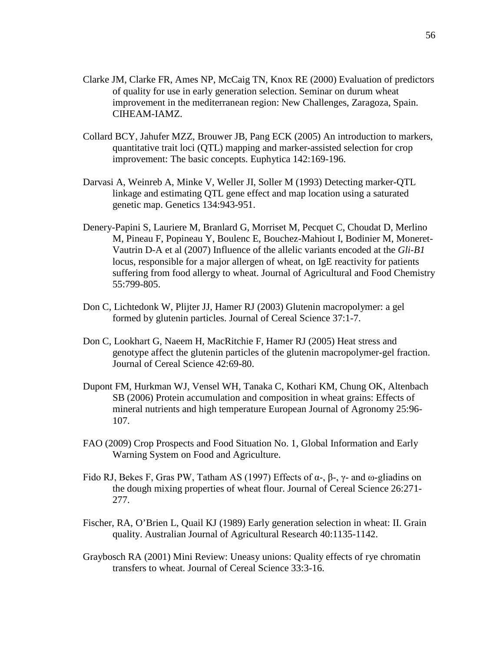- Clarke JM, Clarke FR, Ames NP, McCaig TN, Knox RE (2000) Evaluation of predictors of quality for use in early generation selection. Seminar on durum wheat improvement in the mediterranean region: New Challenges, Zaragoza, Spain. CIHEAM-IAMZ.
- Collard BCY, Jahufer MZZ, Brouwer JB, Pang ECK (2005) An introduction to markers, quantitative trait loci (QTL) mapping and marker-assisted selection for crop improvement: The basic concepts. Euphytica 142:169-196.
- Darvasi A, Weinreb A, Minke V, Weller JI, Soller M (1993) Detecting marker-QTL linkage and estimating QTL gene effect and map location using a saturated genetic map. Genetics 134:943-951.
- Denery-Papini S, Lauriere M, Branlard G, Morriset M, Pecquet C, Choudat D, Merlino M, Pineau F, Popineau Y, Boulenc E, Bouchez-Mahiout I, Bodinier M, Moneret-Vautrin D-A et al (2007) Influence of the allelic variants encoded at the *Gli-B1* locus, responsible for a major allergen of wheat, on IgE reactivity for patients suffering from food allergy to wheat. Journal of Agricultural and Food Chemistry 55:799-805.
- Don C, Lichtedonk W, Plijter JJ, Hamer RJ (2003) Glutenin macropolymer: a gel formed by glutenin particles. Journal of Cereal Science 37:1-7.
- Don C, Lookhart G, Naeem H, MacRitchie F, Hamer RJ (2005) Heat stress and genotype affect the glutenin particles of the glutenin macropolymer-gel fraction. Journal of Cereal Science 42:69-80.
- Dupont FM, Hurkman WJ, Vensel WH, Tanaka C, Kothari KM, Chung OK, Altenbach SB (2006) Protein accumulation and composition in wheat grains: Effects of mineral nutrients and high temperature European Journal of Agronomy 25:96- 107.
- FAO (2009) Crop Prospects and Food Situation No. 1, Global Information and Early Warning System on Food and Agriculture.
- Fido RJ, Bekes F, Gras PW, Tatham AS (1997) Effects of  $\alpha$ -,  $\beta$ -,  $\gamma$  and  $\omega$ -gliadins on the dough mixing properties of wheat flour. Journal of Cereal Science 26:271- 277.
- Fischer, RA, O'Brien L, Quail KJ (1989) Early generation selection in wheat: II. Grain quality. Australian Journal of Agricultural Research 40:1135-1142.
- Graybosch RA (2001) Mini Review: Uneasy unions: Quality effects of rye chromatin transfers to wheat. Journal of Cereal Science 33:3-16.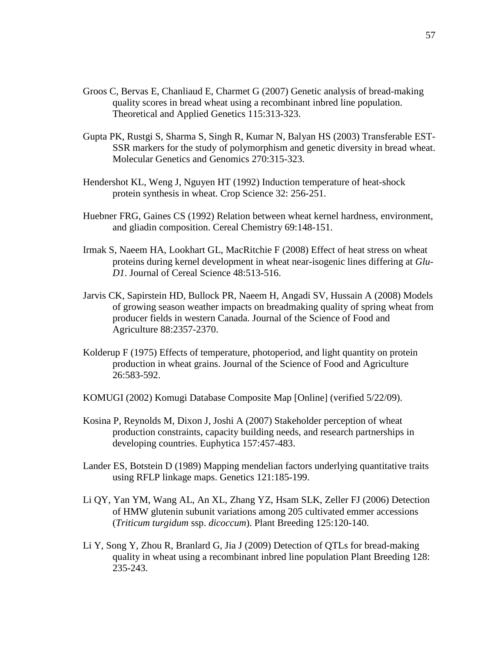- Groos C, Bervas E, Chanliaud E, Charmet G (2007) Genetic analysis of bread-making quality scores in bread wheat using a recombinant inbred line population. Theoretical and Applied Genetics 115:313-323.
- Gupta PK, Rustgi S, Sharma S, Singh R, Kumar N, Balyan HS (2003) Transferable EST-SSR markers for the study of polymorphism and genetic diversity in bread wheat. Molecular Genetics and Genomics 270:315-323.
- Hendershot KL, Weng J, Nguyen HT (1992) Induction temperature of heat-shock protein synthesis in wheat. Crop Science 32: 256-251.
- Huebner FRG, Gaines CS (1992) Relation between wheat kernel hardness, environment, and gliadin composition. Cereal Chemistry 69:148-151.
- Irmak S, Naeem HA, Lookhart GL, MacRitchie F (2008) Effect of heat stress on wheat proteins during kernel development in wheat near-isogenic lines differing at *Glu-D1*. Journal of Cereal Science 48:513-516.
- Jarvis CK, Sapirstein HD, Bullock PR, Naeem H, Angadi SV, Hussain A (2008) Models of growing season weather impacts on breadmaking quality of spring wheat from producer fields in western Canada. Journal of the Science of Food and Agriculture 88:2357-2370.
- Kolderup F (1975) Effects of temperature, photoperiod, and light quantity on protein production in wheat grains. Journal of the Science of Food and Agriculture 26:583-592.
- KOMUGI (2002) Komugi Database Composite Map [Online] (verified 5/22/09).
- Kosina P, Reynolds M, Dixon J, Joshi A (2007) Stakeholder perception of wheat production constraints, capacity building needs, and research partnerships in developing countries. Euphytica 157:457-483.
- Lander ES, Botstein D (1989) Mapping mendelian factors underlying quantitative traits using RFLP linkage maps. Genetics 121:185-199.
- Li QY, Yan YM, Wang AL, An XL, Zhang YZ, Hsam SLK, Zeller FJ (2006) Detection of HMW glutenin subunit variations among 205 cultivated emmer accessions (*Triticum turgidum* ssp. *dicoccum*). Plant Breeding 125:120-140.
- Li Y, Song Y, Zhou R, Branlard G, Jia J (2009) Detection of QTLs for bread-making quality in wheat using a recombinant inbred line population Plant Breeding 128: 235-243.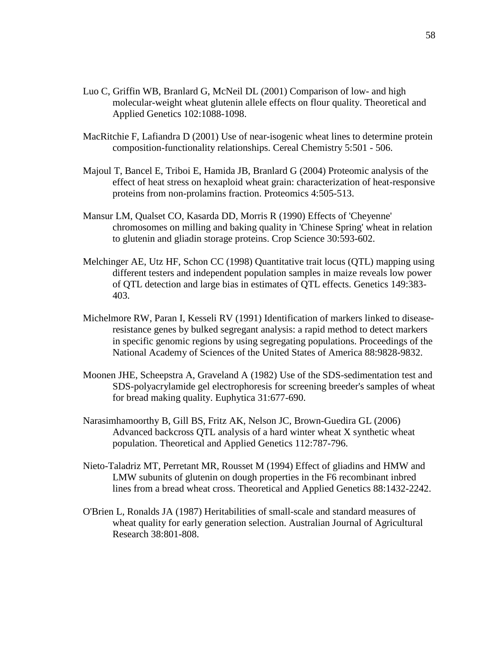- Luo C, Griffin WB, Branlard G, McNeil DL (2001) Comparison of low- and high molecular-weight wheat glutenin allele effects on flour quality. Theoretical and Applied Genetics 102:1088-1098.
- MacRitchie F, Lafiandra D (2001) Use of near-isogenic wheat lines to determine protein composition-functionality relationships. Cereal Chemistry 5:501 - 506.
- Majoul T, Bancel E, Triboi E, Hamida JB, Branlard G (2004) Proteomic analysis of the effect of heat stress on hexaploid wheat grain: characterization of heat-responsive proteins from non-prolamins fraction. Proteomics 4:505-513.
- Mansur LM, Qualset CO, Kasarda DD, Morris R (1990) Effects of 'Cheyenne' chromosomes on milling and baking quality in 'Chinese Spring' wheat in relation to glutenin and gliadin storage proteins. Crop Science 30:593-602.
- Melchinger AE, Utz HF, Schon CC (1998) Quantitative trait locus (QTL) mapping using different testers and independent population samples in maize reveals low power of QTL detection and large bias in estimates of QTL effects. Genetics 149:383- 403.
- Michelmore RW, Paran I, Kesseli RV (1991) Identification of markers linked to diseaseresistance genes by bulked segregant analysis: a rapid method to detect markers in specific genomic regions by using segregating populations. Proceedings of the National Academy of Sciences of the United States of America 88:9828-9832.
- Moonen JHE, Scheepstra A, Graveland A (1982) Use of the SDS-sedimentation test and SDS-polyacrylamide gel electrophoresis for screening breeder's samples of wheat for bread making quality. Euphytica 31:677-690.
- Narasimhamoorthy B, Gill BS, Fritz AK, Nelson JC, Brown-Guedira GL (2006) Advanced backcross QTL analysis of a hard winter wheat X synthetic wheat population. Theoretical and Applied Genetics 112:787-796.
- Nieto-Taladriz MT, Perretant MR, Rousset M (1994) Effect of gliadins and HMW and LMW subunits of glutenin on dough properties in the F6 recombinant inbred lines from a bread wheat cross. Theoretical and Applied Genetics 88:1432-2242.
- O'Brien L, Ronalds JA (1987) Heritabilities of small-scale and standard measures of wheat quality for early generation selection. Australian Journal of Agricultural Research 38:801-808.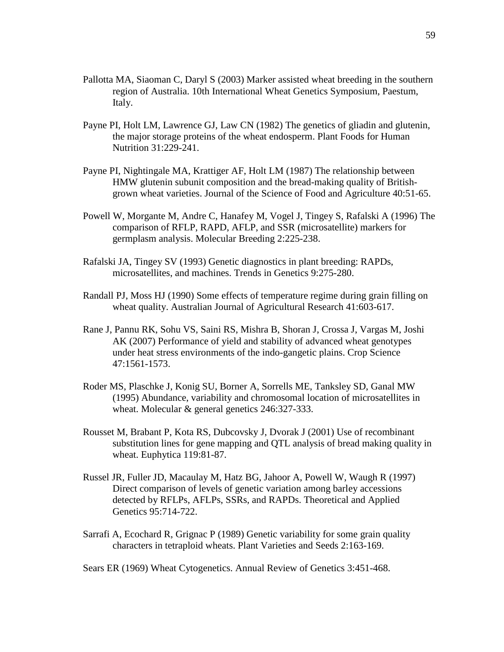- Pallotta MA, Siaoman C, Daryl S (2003) Marker assisted wheat breeding in the southern region of Australia. 10th International Wheat Genetics Symposium, Paestum, Italy.
- Payne PI, Holt LM, Lawrence GJ, Law CN (1982) The genetics of gliadin and glutenin, the major storage proteins of the wheat endosperm. Plant Foods for Human Nutrition 31:229-241.
- Payne PI, Nightingale MA, Krattiger AF, Holt LM (1987) The relationship between HMW glutenin subunit composition and the bread-making quality of Britishgrown wheat varieties. Journal of the Science of Food and Agriculture 40:51-65.
- Powell W, Morgante M, Andre C, Hanafey M, Vogel J, Tingey S, Rafalski A (1996) The comparison of RFLP, RAPD, AFLP, and SSR (microsatellite) markers for germplasm analysis. Molecular Breeding 2:225-238.
- Rafalski JA, Tingey SV (1993) Genetic diagnostics in plant breeding: RAPDs, microsatellites, and machines. Trends in Genetics 9:275-280.
- Randall PJ, Moss HJ (1990) Some effects of temperature regime during grain filling on wheat quality. Australian Journal of Agricultural Research 41:603-617.
- Rane J, Pannu RK, Sohu VS, Saini RS, Mishra B, Shoran J, Crossa J, Vargas M, Joshi AK (2007) Performance of yield and stability of advanced wheat genotypes under heat stress environments of the indo-gangetic plains. Crop Science 47:1561-1573.
- Roder MS, Plaschke J, Konig SU, Borner A, Sorrells ME, Tanksley SD, Ganal MW (1995) Abundance, variability and chromosomal location of microsatellites in wheat. Molecular & general genetics 246:327-333.
- Rousset M, Brabant P, Kota RS, Dubcovsky J, Dvorak J (2001) Use of recombinant substitution lines for gene mapping and QTL analysis of bread making quality in wheat. Euphytica 119:81-87.
- Russel JR, Fuller JD, Macaulay M, Hatz BG, Jahoor A, Powell W, Waugh R (1997) Direct comparison of levels of genetic variation among barley accessions detected by RFLPs, AFLPs, SSRs, and RAPDs. Theoretical and Applied Genetics 95:714-722.
- Sarrafi A, Ecochard R, Grignac P (1989) Genetic variability for some grain quality characters in tetraploid wheats. Plant Varieties and Seeds 2:163-169.

Sears ER (1969) Wheat Cytogenetics. Annual Review of Genetics 3:451-468.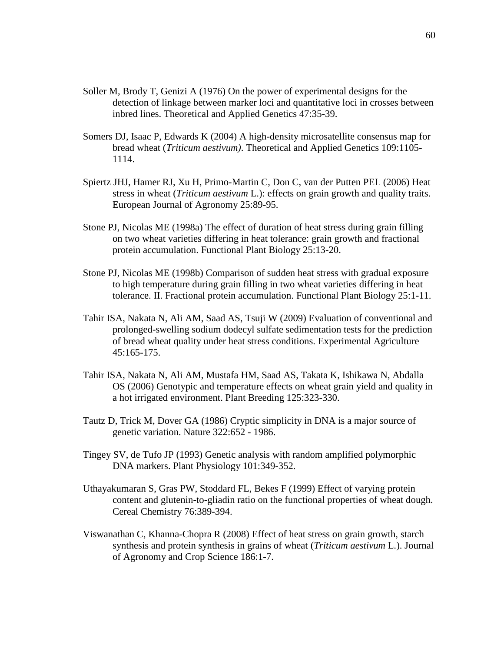- Soller M, Brody T, Genizi A (1976) On the power of experimental designs for the detection of linkage between marker loci and quantitative loci in crosses between inbred lines. Theoretical and Applied Genetics 47:35-39.
- Somers DJ, Isaac P, Edwards K (2004) A high-density microsatellite consensus map for bread wheat (*Triticum aestivum)*. Theoretical and Applied Genetics 109:1105- 1114.
- Spiertz JHJ, Hamer RJ, Xu H, Primo-Martin C, Don C, van der Putten PEL (2006) Heat stress in wheat (*Triticum aestivum* L.): effects on grain growth and quality traits. European Journal of Agronomy 25:89-95.
- Stone PJ, Nicolas ME (1998a) The effect of duration of heat stress during grain filling on two wheat varieties differing in heat tolerance: grain growth and fractional protein accumulation. Functional Plant Biology 25:13-20.
- Stone PJ, Nicolas ME (1998b) Comparison of sudden heat stress with gradual exposure to high temperature during grain filling in two wheat varieties differing in heat tolerance. II. Fractional protein accumulation. Functional Plant Biology 25:1-11.
- Tahir ISA, Nakata N, Ali AM, Saad AS, Tsuji W (2009) Evaluation of conventional and prolonged-swelling sodium dodecyl sulfate sedimentation tests for the prediction of bread wheat quality under heat stress conditions. Experimental Agriculture 45:165-175.
- Tahir ISA, Nakata N, Ali AM, Mustafa HM, Saad AS, Takata K, Ishikawa N, Abdalla OS (2006) Genotypic and temperature effects on wheat grain yield and quality in a hot irrigated environment. Plant Breeding 125:323-330.
- Tautz D, Trick M, Dover GA (1986) Cryptic simplicity in DNA is a major source of genetic variation. Nature 322:652 - 1986.
- Tingey SV, de Tufo JP (1993) Genetic analysis with random amplified polymorphic DNA markers. Plant Physiology 101:349-352.
- Uthayakumaran S, Gras PW, Stoddard FL, Bekes F (1999) Effect of varying protein content and glutenin-to-gliadin ratio on the functional properties of wheat dough. Cereal Chemistry 76:389-394.
- Viswanathan C, Khanna-Chopra R (2008) Effect of heat stress on grain growth, starch synthesis and protein synthesis in grains of wheat (*Triticum aestivum* L.). Journal of Agronomy and Crop Science 186:1-7.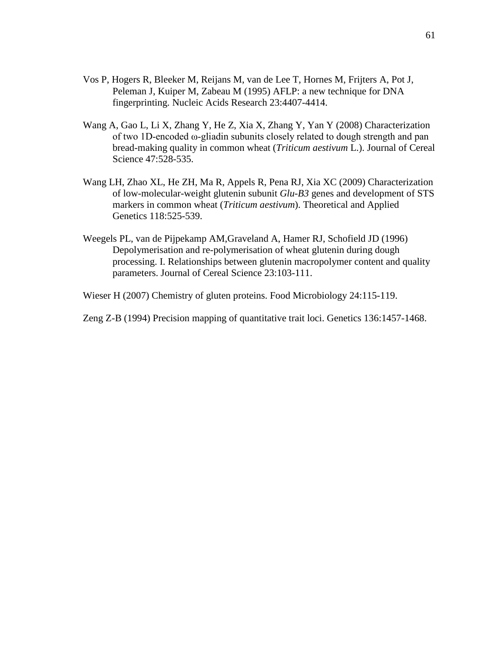- Vos P, Hogers R, Bleeker M, Reijans M, van de Lee T, Hornes M, Frijters A, Pot J, Peleman J, Kuiper M, Zabeau M (1995) AFLP: a new technique for DNA fingerprinting. Nucleic Acids Research 23:4407-4414.
- Wang A, Gao L, Li X, Zhang Y, He Z, Xia X, Zhang Y, Yan Y (2008) Characterization of two 1D-encoded ω-gliadin subunits closely related to dough strength and pan bread-making quality in common wheat (*Triticum aestivum* L.). Journal of Cereal Science 47:528-535.
- Wang LH, Zhao XL, He ZH, Ma R, Appels R, Pena RJ, Xia XC (2009) Characterization of low-molecular-weight glutenin subunit *Glu-B3* genes and development of STS markers in common wheat (*Triticum aestivum*). Theoretical and Applied Genetics 118:525-539.
- Weegels PL, van de Pijpekamp AM,Graveland A, Hamer RJ, Schofield JD (1996) Depolymerisation and re-polymerisation of wheat glutenin during dough processing. I. Relationships between glutenin macropolymer content and quality parameters. Journal of Cereal Science 23:103-111.
- Wieser H (2007) Chemistry of gluten proteins. Food Microbiology 24:115-119.
- Zeng Z-B (1994) Precision mapping of quantitative trait loci. Genetics 136:1457-1468.